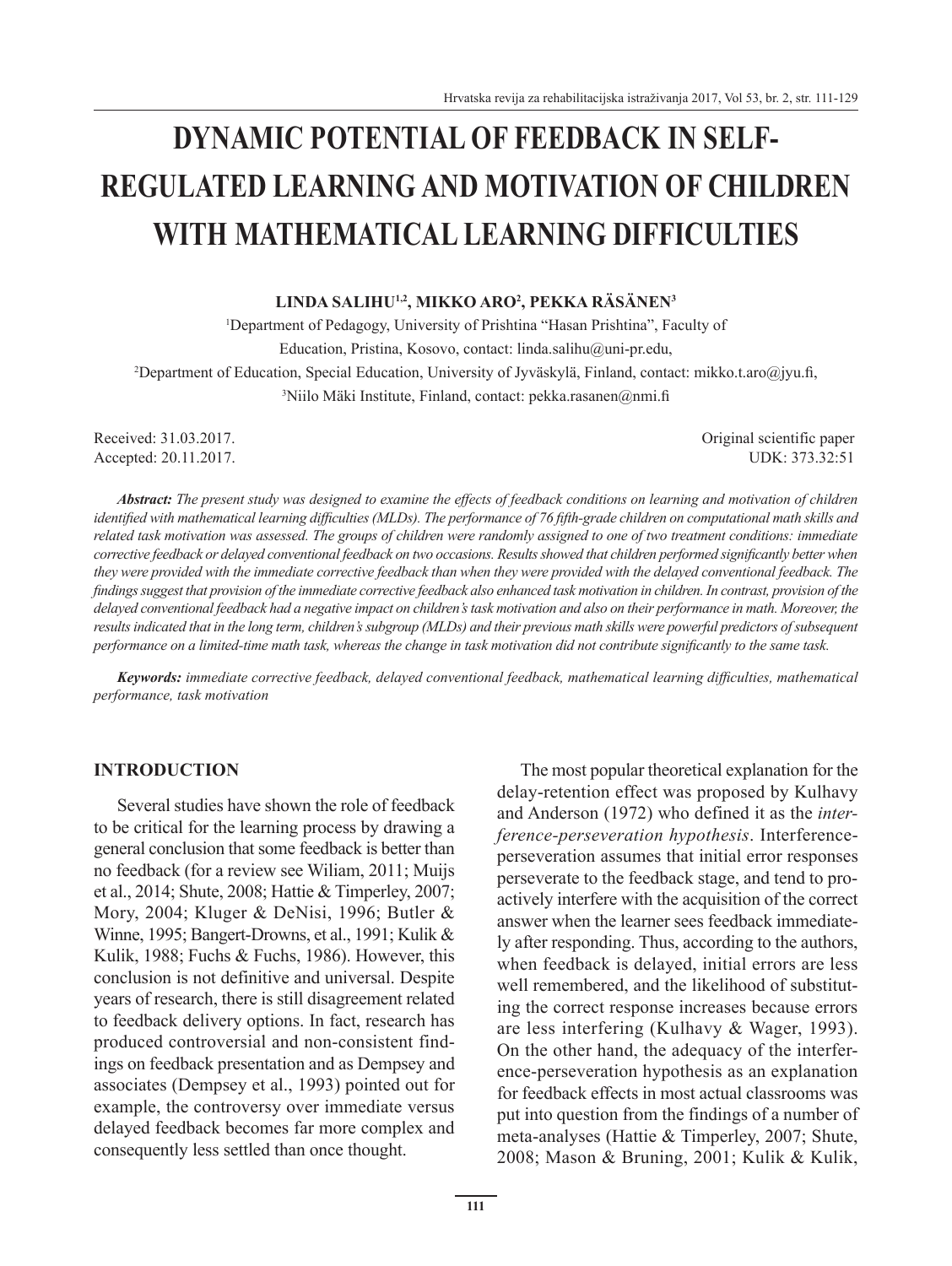# **DYNAMIC POTENTIAL OF FEEDBACK IN SELF-REGULATED LEARNING AND MOTIVATION OF CHILDREN WITH MATHEMATICAL LEARNING DIFFICULTIES**

#### **LINDA SALIHU1,2, MIKKO ARO<sup>2</sup> , PEKKA RÄSÄNEN<sup>3</sup>**

1 Department of Pedagogy, University of Prishtina "Hasan Prishtina", Faculty of Education, Pristina, Kosovo, contact: linda.salihu@uni-pr.edu, 2 Department of Education, Special Education, University of Jyväskylä, Finland, contact: mikko.t.aro@jyu.fi, <sup>3</sup>Niilo Mäki Institute, Finland, contact: pekka.rasanen@nmi.f

Received: 31.03.2017. Conserved: 31.03.2017.

Accepted: 20.11.2017. UDK: 373.32:51

*Abstract: The present study was designed to examine the effects of feedback conditions on learning and motivation of children identified with mathematical learning difficulties (MLDs). The performance of 76 fifth-grade children on computational math skills and related task motivation was assessed. The groups of children were randomly assigned to one of two treatment conditions: immediate corrective feedback or delayed conventional feedback on two occasions. Results showed that children performed significantly better when they were provided with the immediate corrective feedback than when they were provided with the delayed conventional feedback. The findings suggest that provision of the immediate corrective feedback also enhanced task motivation in children. In contrast, provision of the delayed conventional feedback had a negative impact on children's task motivation and also on their performance in math. Moreover, the results indicated that in the long term, children's subgroup (MLDs) and their previous math skills were powerful predictors of subsequent performance on a limited-time math task, whereas the change in task motivation did not contribute significantly to the same task.*

*Keywords: immediate corrective feedback, delayed conventional feedback, mathematical learning difficulties, mathematical performance, task motivation*

### **INTRODUCTION**

Several studies have shown the role of feedback to be critical for the learning process by drawing a general conclusion that some feedback is better than no feedback (for a review see Wiliam, 2011; Muijs et al., 2014; Shute, 2008; Hattie & Timperley, 2007; Mory, 2004; Kluger & DeNisi, 1996; Butler & Winne, 1995; Bangert-Drowns, et al., 1991; Kulik & Kulik, 1988; Fuchs & Fuchs, 1986). However, this conclusion is not definitive and universal. Despite years of research, there is still disagreement related to feedback delivery options. In fact, research has produced controversial and non-consistent findings on feedback presentation and as Dempsey and associates (Dempsey et al., 1993) pointed out for example, the controversy over immediate versus delayed feedback becomes far more complex and consequently less settled than once thought.

The most popular theoretical explanation for the delay-retention effect was proposed by Kulhavy and Anderson (1972) who defined it as the *interference-perseveration hypothesis*. Interferenceperseveration assumes that initial error responses perseverate to the feedback stage, and tend to proactively interfere with the acquisition of the correct answer when the learner sees feedback immediately after responding. Thus, according to the authors, when feedback is delayed, initial errors are less well remembered, and the likelihood of substituting the correct response increases because errors are less interfering (Kulhavy & Wager, 1993). On the other hand, the adequacy of the interference-perseveration hypothesis as an explanation for feedback effects in most actual classrooms was put into question from the findings of a number of meta-analyses (Hattie & Timperley, 2007; Shute, 2008; Mason & Bruning, 2001; Kulik & Kulik,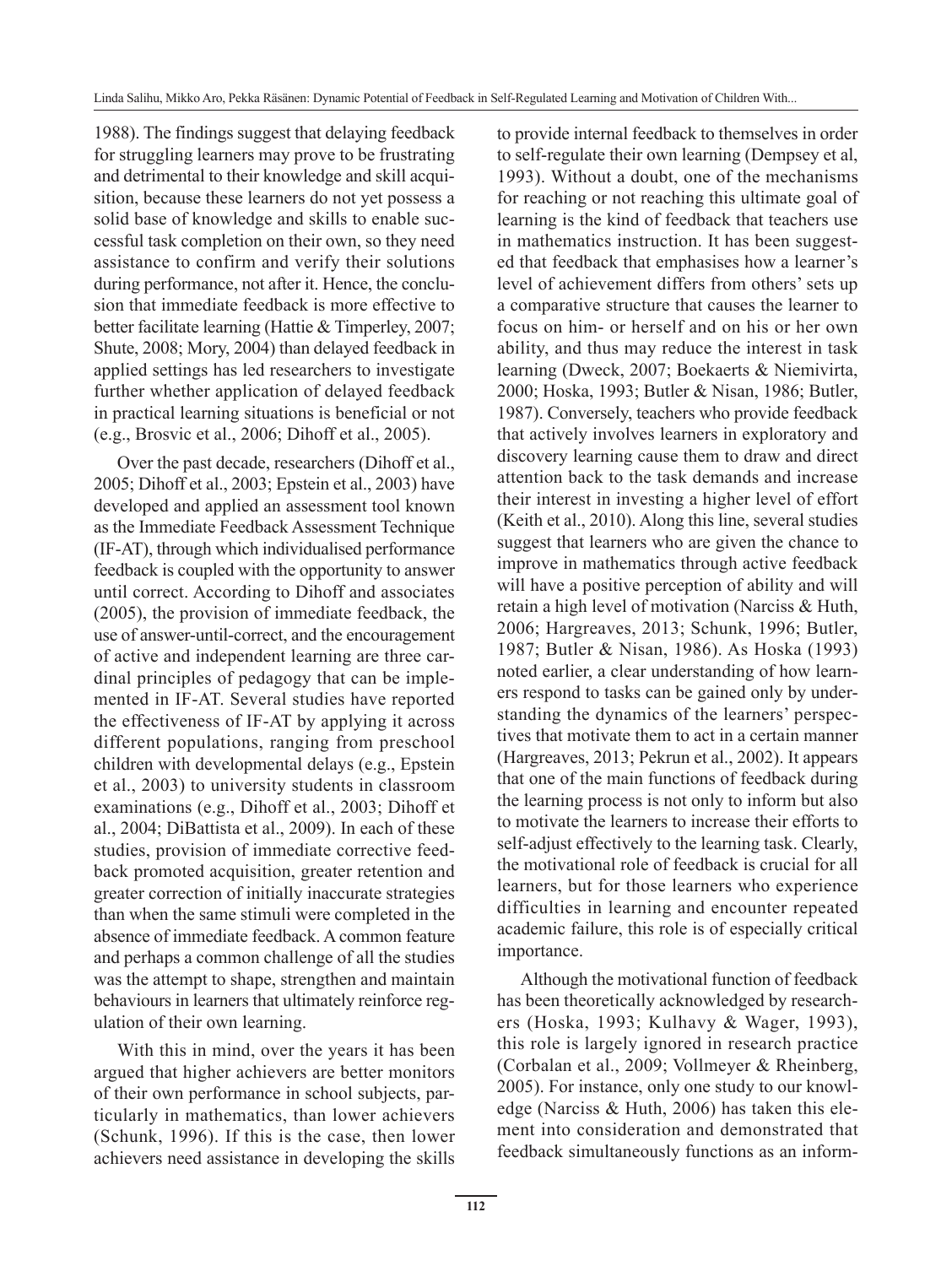1988). The findings suggest that delaying feedback for struggling learners may prove to be frustrating and detrimental to their knowledge and skill acquisition, because these learners do not yet possess a solid base of knowledge and skills to enable successful task completion on their own, so they need assistance to confirm and verify their solutions during performance, not after it. Hence, the conclusion that immediate feedback is more effective to better facilitate learning (Hattie & Timperley, 2007; Shute, 2008; Mory, 2004) than delayed feedback in applied settings has led researchers to investigate further whether application of delayed feedback in practical learning situations is beneficial or not (e.g., Brosvic et al., 2006; Dihoff et al., 2005).

Over the past decade, researchers (Dihoff et al., 2005; Dihoff et al., 2003; Epstein et al., 2003) have developed and applied an assessment tool known as the Immediate Feedback Assessment Technique (IF-AT), through which individualised performance feedback is coupled with the opportunity to answer until correct. According to Dihoff and associates (2005), the provision of immediate feedback, the use of answer-until-correct, and the encouragement of active and independent learning are three cardinal principles of pedagogy that can be implemented in IF-AT. Several studies have reported the effectiveness of IF-AT by applying it across different populations, ranging from preschool children with developmental delays (e.g., Epstein et al., 2003) to university students in classroom examinations (e.g., Dihoff et al., 2003; Dihoff et al., 2004; DiBattista et al., 2009). In each of these studies, provision of immediate corrective feedback promoted acquisition, greater retention and greater correction of initially inaccurate strategies than when the same stimuli were completed in the absence of immediate feedback. A common feature and perhaps a common challenge of all the studies was the attempt to shape, strengthen and maintain behaviours in learners that ultimately reinforce regulation of their own learning.

With this in mind, over the years it has been argued that higher achievers are better monitors of their own performance in school subjects, particularly in mathematics, than lower achievers (Schunk, 1996). If this is the case, then lower achievers need assistance in developing the skills to provide internal feedback to themselves in order to self-regulate their own learning (Dempsey et al, 1993). Without a doubt, one of the mechanisms for reaching or not reaching this ultimate goal of learning is the kind of feedback that teachers use in mathematics instruction. It has been suggested that feedback that emphasises how a learner's level of achievement differs from others' sets up a comparative structure that causes the learner to focus on him- or herself and on his or her own ability, and thus may reduce the interest in task learning (Dweck, 2007; Boekaerts & Niemivirta, 2000; Hoska, 1993; Butler & Nisan, 1986; Butler, 1987). Conversely, teachers who provide feedback that actively involves learners in exploratory and discovery learning cause them to draw and direct attention back to the task demands and increase their interest in investing a higher level of effort (Keith et al., 2010). Along this line, several studies suggest that learners who are given the chance to improve in mathematics through active feedback will have a positive perception of ability and will retain a high level of motivation (Narciss & Huth, 2006; Hargreaves, 2013; Schunk, 1996; Butler, 1987; Butler & Nisan, 1986). As Hoska (1993) noted earlier, a clear understanding of how learners respond to tasks can be gained only by understanding the dynamics of the learners' perspectives that motivate them to act in a certain manner (Hargreaves, 2013; Pekrun et al., 2002). It appears that one of the main functions of feedback during the learning process is not only to inform but also to motivate the learners to increase their efforts to self-adjust effectively to the learning task. Clearly, the motivational role of feedback is crucial for all learners, but for those learners who experience difficulties in learning and encounter repeated academic failure, this role is of especially critical importance.

Although the motivational function of feedback has been theoretically acknowledged by researchers (Hoska, 1993; Kulhavy & Wager, 1993), this role is largely ignored in research practice (Corbalan et al., 2009; Vollmeyer & Rheinberg, 2005). For instance, only one study to our knowledge (Narciss & Huth, 2006) has taken this element into consideration and demonstrated that feedback simultaneously functions as an inform-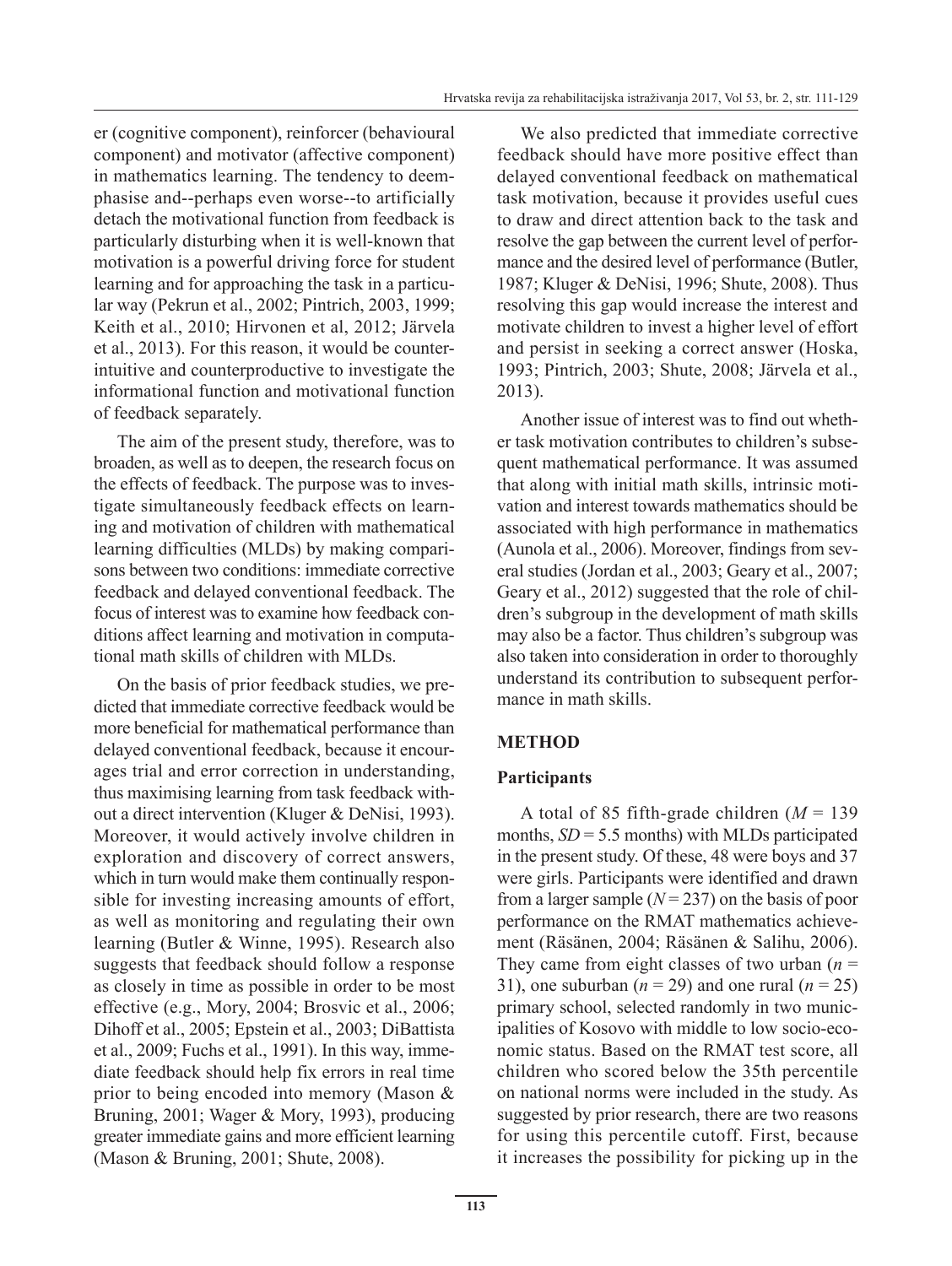er (cognitive component), reinforcer (behavioural component) and motivator (affective component) in mathematics learning. The tendency to deemphasise and--perhaps even worse--to artificially detach the motivational function from feedback is particularly disturbing when it is well-known that motivation is a powerful driving force for student learning and for approaching the task in a particular way (Pekrun et al., 2002; Pintrich, 2003, 1999; Keith et al., 2010; Hirvonen et al, 2012; Järvela et al., 2013). For this reason, it would be counterintuitive and counterproductive to investigate the informational function and motivational function of feedback separately.

The aim of the present study, therefore, was to broaden, as well as to deepen, the research focus on the effects of feedback. The purpose was to investigate simultaneously feedback effects on learning and motivation of children with mathematical learning difficulties (MLDs) by making comparisons between two conditions: immediate corrective feedback and delayed conventional feedback. The focus of interest was to examine how feedback conditions affect learning and motivation in computational math skills of children with MLDs.

On the basis of prior feedback studies, we predicted that immediate corrective feedback would be more beneficial for mathematical performance than delayed conventional feedback, because it encourages trial and error correction in understanding, thus maximising learning from task feedback without a direct intervention (Kluger & DeNisi, 1993). Moreover, it would actively involve children in exploration and discovery of correct answers, which in turn would make them continually responsible for investing increasing amounts of effort, as well as monitoring and regulating their own learning (Butler & Winne, 1995). Research also suggests that feedback should follow a response as closely in time as possible in order to be most effective (e.g., Mory, 2004; Brosvic et al., 2006; Dihoff et al., 2005; Epstein et al., 2003; DiBattista et al., 2009; Fuchs et al., 1991). In this way, immediate feedback should help fix errors in real time prior to being encoded into memory (Mason & Bruning, 2001; Wager & Mory, 1993), producing greater immediate gains and more efficient learning (Mason & Bruning, 2001; Shute, 2008).

We also predicted that immediate corrective feedback should have more positive effect than delayed conventional feedback on mathematical task motivation, because it provides useful cues to draw and direct attention back to the task and resolve the gap between the current level of performance and the desired level of performance (Butler, 1987; Kluger & DeNisi, 1996; Shute, 2008). Thus resolving this gap would increase the interest and motivate children to invest a higher level of effort and persist in seeking a correct answer (Hoska, 1993; Pintrich, 2003; Shute, 2008; Järvela et al., 2013).

Another issue of interest was to find out whether task motivation contributes to children's subsequent mathematical performance. It was assumed that along with initial math skills, intrinsic motivation and interest towards mathematics should be associated with high performance in mathematics (Aunola et al., 2006). Moreover, findings from several studies (Jordan et al., 2003; Geary et al., 2007; Geary et al., 2012) suggested that the role of children's subgroup in the development of math skills may also be a factor. Thus children's subgroup was also taken into consideration in order to thoroughly understand its contribution to subsequent performance in math skills.

# **METHOD**

# **Participants**

A total of 85 fifth-grade children  $(M = 139)$ months,  $SD = 5.5$  months) with MLDs participated in the present study. Of these, 48 were boys and 37 were girls. Participants were identified and drawn from a larger sample  $(N = 237)$  on the basis of poor performance on the RMAT mathematics achievement (Räsänen, 2004; Räsänen & Salihu, 2006). They came from eight classes of two urban  $(n =$ 31), one suburban  $(n = 29)$  and one rural  $(n = 25)$ primary school, selected randomly in two municipalities of Kosovo with middle to low socio-economic status. Based on the RMAT test score, all children who scored below the 35th percentile on national norms were included in the study. As suggested by prior research, there are two reasons for using this percentile cutoff. First, because it increases the possibility for picking up in the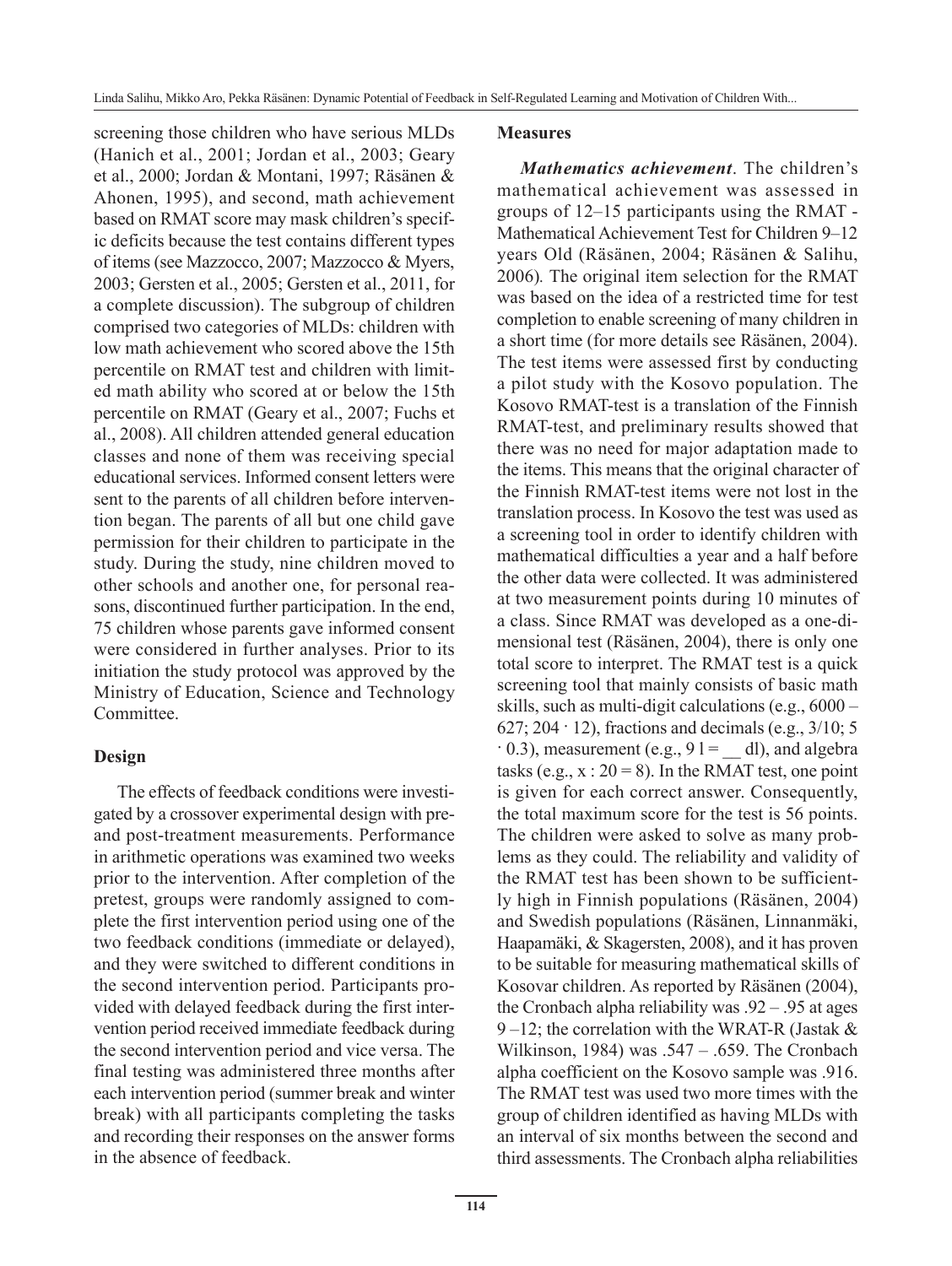screening those children who have serious MLDs (Hanich et al., 2001; Jordan et al., 2003; Geary et al., 2000; Jordan & Montani, 1997; Räsänen & Ahonen, 1995), and second, math achievement based on RMAT score may mask children's specific deficits because the test contains different types of items (see Mazzocco, 2007; Mazzocco & Myers, 2003; Gersten et al., 2005; Gersten et al., 2011, for a complete discussion). The subgroup of children comprised two categories of MLDs: children with low math achievement who scored above the 15th percentile on RMAT test and children with limited math ability who scored at or below the 15th percentile on RMAT (Geary et al., 2007; Fuchs et al., 2008). All children attended general education classes and none of them was receiving special educational services. Informed consent letters were sent to the parents of all children before intervention began. The parents of all but one child gave permission for their children to participate in the study. During the study, nine children moved to other schools and another one, for personal reasons, discontinued further participation. In the end, 75 children whose parents gave informed consent were considered in further analyses. Prior to its initiation the study protocol was approved by the Ministry of Education, Science and Technology Committee.

# **Design**

The effects of feedback conditions were investigated by a crossover experimental design with preand post-treatment measurements. Performance in arithmetic operations was examined two weeks prior to the intervention. After completion of the pretest, groups were randomly assigned to complete the first intervention period using one of the two feedback conditions (immediate or delayed), and they were switched to different conditions in the second intervention period. Participants provided with delayed feedback during the first intervention period received immediate feedback during the second intervention period and vice versa. The final testing was administered three months after each intervention period (summer break and winter break) with all participants completing the tasks and recording their responses on the answer forms in the absence of feedback.

### **Measures**

*Mathematics achievement*. The children's mathematical achievement was assessed in groups of 12–15 participants using the RMAT - Mathematical Achievement Test for Children 9–12 years Old (Räsänen, 2004; Räsänen & Salihu, 2006)*.* The original item selection for the RMAT was based on the idea of a restricted time for test completion to enable screening of many children in a short time (for more details see Räsänen, 2004). The test items were assessed first by conducting a pilot study with the Kosovo population. The Kosovo RMAT-test is a translation of the Finnish RMAT-test, and preliminary results showed that there was no need for major adaptation made to the items. This means that the original character of the Finnish RMAT-test items were not lost in the translation process. In Kosovo the test was used as a screening tool in order to identify children with mathematical difficulties a year and a half before the other data were collected. It was administered at two measurement points during 10 minutes of a class. Since RMAT was developed as a one-dimensional test (Räsänen, 2004), there is only one total score to interpret. The RMAT test is a quick screening tool that mainly consists of basic math skills, such as multi-digit calculations (e.g., 6000 – 627; 204 · 12), fractions and decimals (e.g.,  $3/10$ ; 5  $\cdot$  0.3), measurement (e.g., 91 = dl), and algebra tasks (e.g.,  $x : 20 = 8$ ). In the RMAT test, one point is given for each correct answer. Consequently, the total maximum score for the test is 56 points. The children were asked to solve as many problems as they could. The reliability and validity of the RMAT test has been shown to be sufficiently high in Finnish populations (Räsänen, 2004) and Swedish populations (Räsänen, Linnanmäki, Haapamäki, & Skagersten, 2008), and it has proven to be suitable for measuring mathematical skills of Kosovar children. As reported by Räsänen (2004), the Cronbach alpha reliability was  $.92 - .95$  at ages 9 –12; the correlation with the WRAT-R (Jastak  $&$ Wilkinson, 1984) was .547 – .659. The Cronbach alpha coefficient on the Kosovo sample was .916. The RMAT test was used two more times with the group of children identified as having MLDs with an interval of six months between the second and third assessments. The Cronbach alpha reliabilities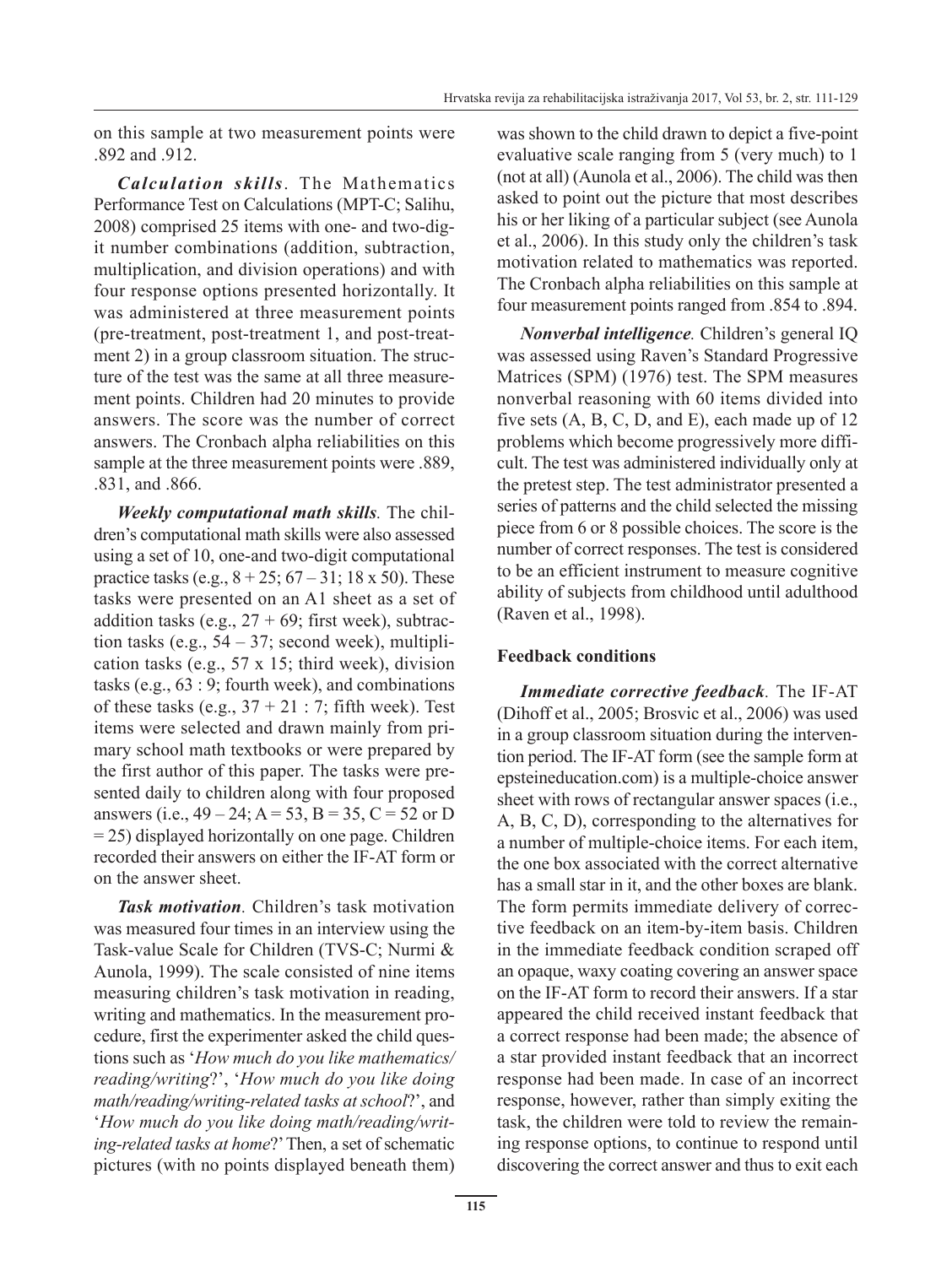on this sample at two measurement points were .892 and .912.

*Calculation skills*. The Mathematics Performance Test on Calculations (MPT-C; Salihu, 2008) comprised 25 items with one- and two-digit number combinations (addition, subtraction, multiplication, and division operations) and with four response options presented horizontally. It was administered at three measurement points (pre-treatment, post-treatment 1, and post-treatment 2) in a group classroom situation. The structure of the test was the same at all three measurement points. Children had 20 minutes to provide answers. The score was the number of correct answers. The Cronbach alpha reliabilities on this sample at the three measurement points were .889, .831, and .866.

*Weekly computational math skills.* The children's computational math skills were also assessed using a set of 10, one-and two-digit computational practice tasks (e.g.,  $8 + 25$ ;  $67 - 31$ ; 18 x 50). These tasks were presented on an A1 sheet as a set of addition tasks (e.g.,  $27 + 69$ ; first week), subtraction tasks (e.g.,  $54 - 37$ ; second week), multiplication tasks (e.g., 57 x 15; third week), division tasks (e.g., 63 : 9; fourth week), and combinations of these tasks (e.g.,  $37 + 21$ : 7; fifth week). Test items were selected and drawn mainly from primary school math textbooks or were prepared by the first author of this paper. The tasks were presented daily to children along with four proposed answers (i.e.,  $49 - 24$ ;  $A = 53$ ,  $B = 35$ ,  $C = 52$  or D  $= 25$ ) displayed horizontally on one page. Children recorded their answers on either the IF-AT form or on the answer sheet.

*Task motivation.* Children's task motivation was measured four times in an interview using the Task-value Scale for Children (TVS-C; Nurmi & Aunola, 1999). The scale consisted of nine items measuring children's task motivation in reading, writing and mathematics. In the measurement procedure, first the experimenter asked the child questions such as '*How much do you like mathematics/ reading/writing*?', '*How much do you like doing math/reading/writing-related tasks at school*?', and '*How much do you like doing math/reading/writing-related tasks at home*?' Then, a set of schematic pictures (with no points displayed beneath them) was shown to the child drawn to depict a five-point evaluative scale ranging from 5 (very much) to 1 (not at all) (Aunola et al., 2006). The child was then asked to point out the picture that most describes his or her liking of a particular subject (see Aunola et al., 2006). In this study only the children's task motivation related to mathematics was reported. The Cronbach alpha reliabilities on this sample at four measurement points ranged from .854 to .894.

*Nonverbal intelligence.* Children's general IQ was assessed using Raven's Standard Progressive Matrices (SPM) (1976) test. The SPM measures nonverbal reasoning with 60 items divided into five sets (A, B, C, D, and E), each made up of 12 problems which become progressively more difficult. The test was administered individually only at the pretest step. The test administrator presented a series of patterns and the child selected the missing piece from 6 or 8 possible choices. The score is the number of correct responses. The test is considered to be an efficient instrument to measure cognitive ability of subjects from childhood until adulthood (Raven et al., 1998).

# **Feedback conditions**

*Immediate corrective feedback.* The IF-AT (Dihoff et al., 2005; Brosvic et al., 2006) was used in a group classroom situation during the intervention period. The IF-AT form (see the sample form at epsteineducation.com) is a multiple-choice answer sheet with rows of rectangular answer spaces (i.e., A, B, C, D), corresponding to the alternatives for a number of multiple-choice items. For each item, the one box associated with the correct alternative has a small star in it, and the other boxes are blank. The form permits immediate delivery of corrective feedback on an item-by-item basis. Children in the immediate feedback condition scraped off an opaque, waxy coating covering an answer space on the IF-AT form to record their answers. If a star appeared the child received instant feedback that a correct response had been made; the absence of a star provided instant feedback that an incorrect response had been made. In case of an incorrect response, however, rather than simply exiting the task, the children were told to review the remaining response options, to continue to respond until discovering the correct answer and thus to exit each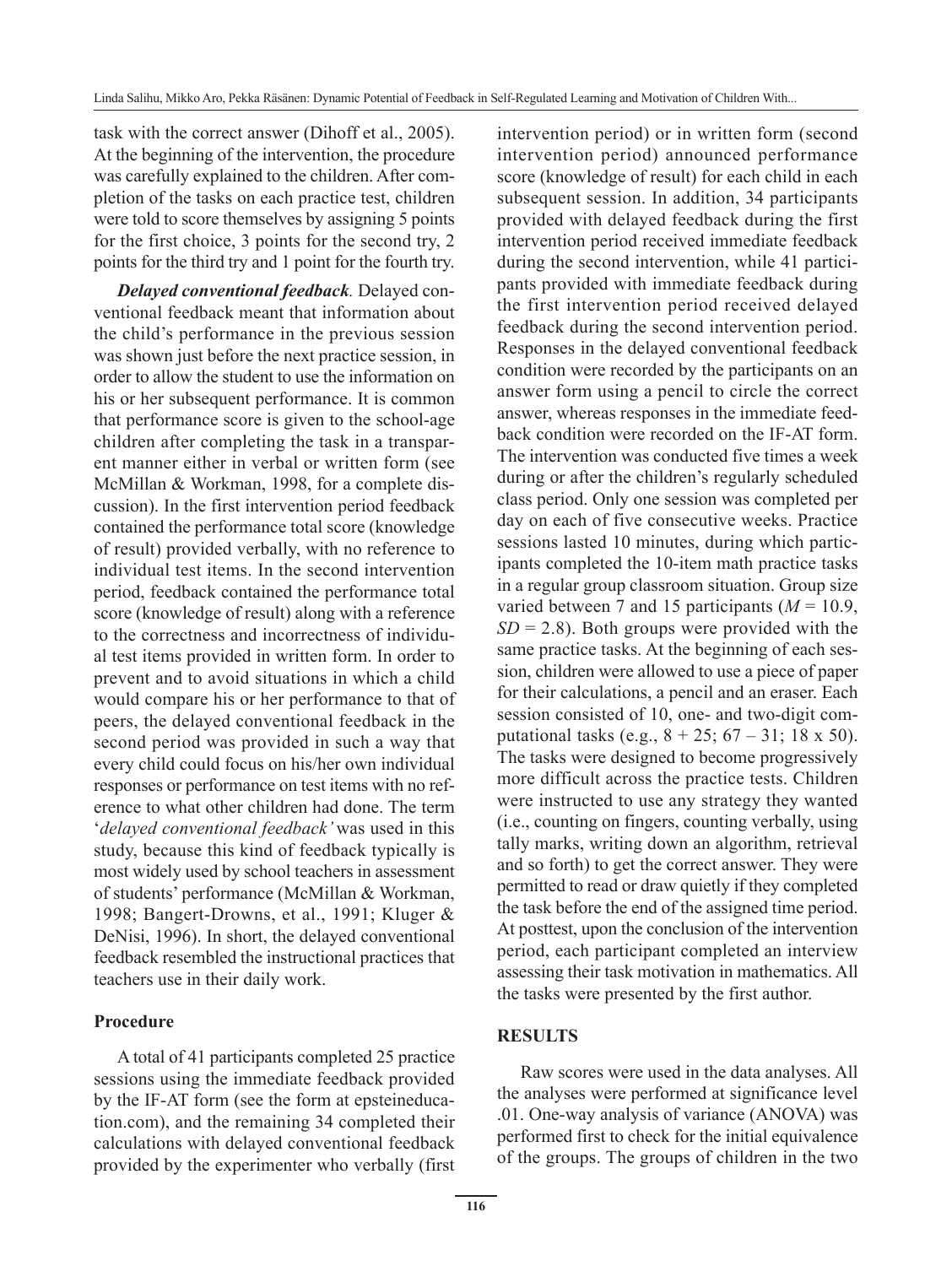task with the correct answer (Dihoff et al., 2005). At the beginning of the intervention, the procedure was carefully explained to the children. After completion of the tasks on each practice test, children were told to score themselves by assigning 5 points for the first choice, 3 points for the second try, 2 points for the third try and 1 point for the fourth try.

*Delayed conventional feedback.* Delayed conventional feedback meant that information about the child's performance in the previous session was shown just before the next practice session, in order to allow the student to use the information on his or her subsequent performance. It is common that performance score is given to the school-age children after completing the task in a transparent manner either in verbal or written form (see McMillan & Workman, 1998, for a complete discussion). In the first intervention period feedback contained the performance total score (knowledge of result) provided verbally, with no reference to individual test items. In the second intervention period, feedback contained the performance total score (knowledge of result) along with a reference to the correctness and incorrectness of individual test items provided in written form. In order to prevent and to avoid situations in which a child would compare his or her performance to that of peers, the delayed conventional feedback in the second period was provided in such a way that every child could focus on his/her own individual responses or performance on test items with no reference to what other children had done. The term '*delayed conventional feedback'* was used in this study, because this kind of feedback typically is most widely used by school teachers in assessment of students' performance (McMillan & Workman, 1998; Bangert-Drowns, et al., 1991; Kluger & DeNisi, 1996). In short, the delayed conventional feedback resembled the instructional practices that teachers use in their daily work.

#### **Procedure**

A total of 41 participants completed 25 practice sessions using the immediate feedback provided by the IF-AT form (see the form at epsteineducation.com), and the remaining 34 completed their calculations with delayed conventional feedback provided by the experimenter who verbally (first intervention period) or in written form (second intervention period) announced performance score (knowledge of result) for each child in each subsequent session. In addition, 34 participants provided with delayed feedback during the first intervention period received immediate feedback during the second intervention, while 41 participants provided with immediate feedback during the first intervention period received delayed feedback during the second intervention period. Responses in the delayed conventional feedback condition were recorded by the participants on an answer form using a pencil to circle the correct answer, whereas responses in the immediate feedback condition were recorded on the IF-AT form. The intervention was conducted five times a week during or after the children's regularly scheduled class period. Only one session was completed per day on each of five consecutive weeks. Practice sessions lasted 10 minutes, during which participants completed the 10-item math practice tasks in a regular group classroom situation. Group size varied between 7 and 15 participants  $(M = 10.9)$ ,  $SD = 2.8$ ). Both groups were provided with the same practice tasks. At the beginning of each session, children were allowed to use a piece of paper for their calculations, a pencil and an eraser. Each session consisted of 10, one- and two-digit computational tasks (e.g.,  $8 + 25$ ;  $67 - 31$ ; 18 x 50). The tasks were designed to become progressively more difficult across the practice tests. Children were instructed to use any strategy they wanted (i.e., counting on fingers, counting verbally, using tally marks, writing down an algorithm, retrieval and so forth) to get the correct answer. They were permitted to read or draw quietly if they completed the task before the end of the assigned time period. At posttest, upon the conclusion of the intervention period, each participant completed an interview assessing their task motivation in mathematics. All the tasks were presented by the first author.

# **RESULTS**

Raw scores were used in the data analyses. All the analyses were performed at significance level .01. One-way analysis of variance (ANOVA) was performed first to check for the initial equivalence of the groups. The groups of children in the two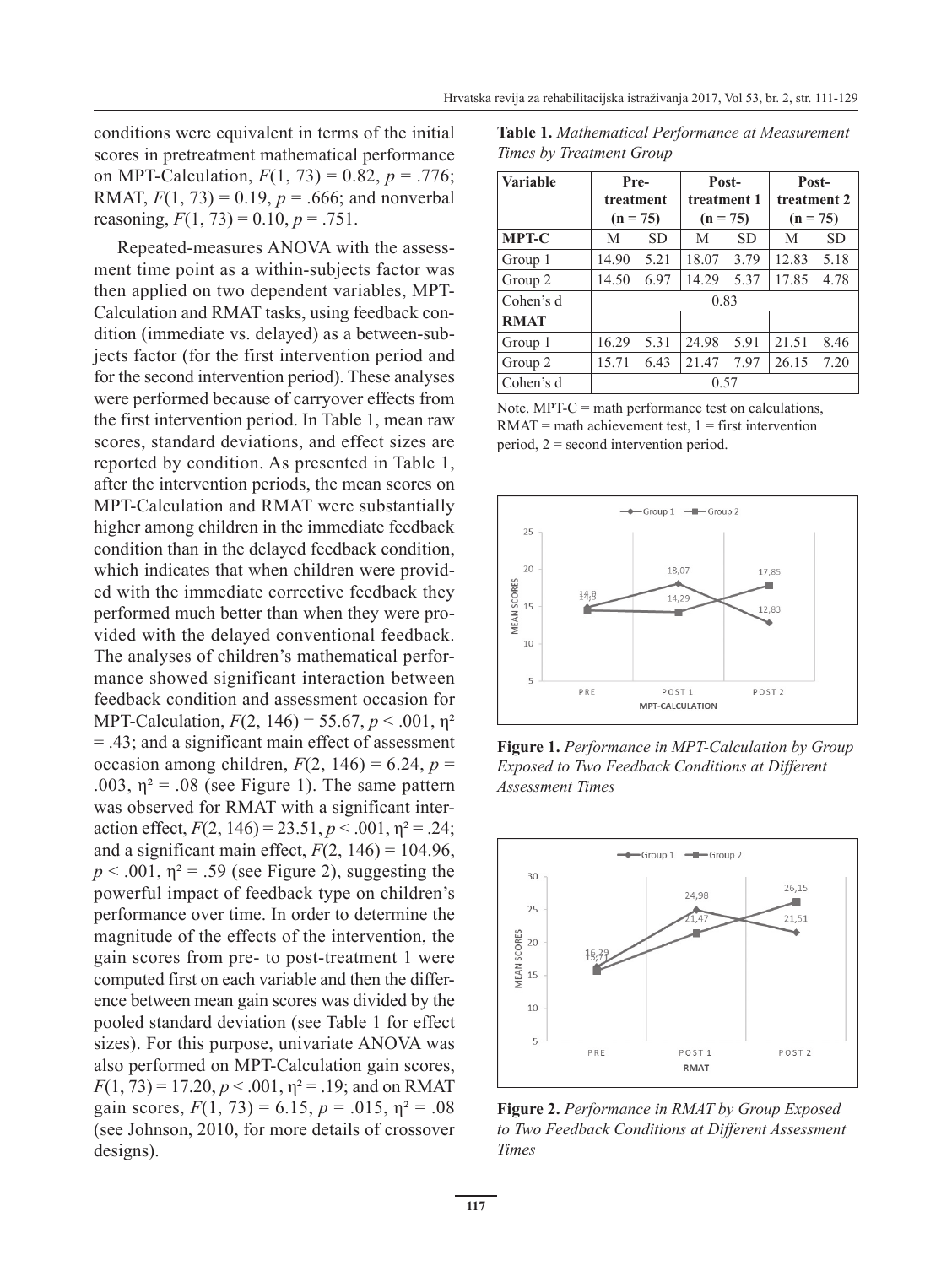conditions were equivalent in terms of the initial scores in pretreatment mathematical performance on MPT-Calculation,  $F(1, 73) = 0.82$ ,  $p = .776$ ; RMAT,  $F(1, 73) = 0.19$ ,  $p = .666$ ; and nonverbal reasoning,  $F(1, 73) = 0.10$ ,  $p = .751$ .

Repeated-measures ANOVA with the assessment time point as a within-subjects factor was then applied on two dependent variables, MPT-Calculation and RMAT tasks, using feedback condition (immediate vs. delayed) as a between-subjects factor (for the first intervention period and for the second intervention period). These analyses were performed because of carryover effects from the first intervention period. In Table 1, mean raw scores, standard deviations, and effect sizes are reported by condition. As presented in Table 1, after the intervention periods, the mean scores on MPT-Calculation and RMAT were substantially higher among children in the immediate feedback condition than in the delayed feedback condition, which indicates that when children were provided with the immediate corrective feedback they performed much better than when they were provided with the delayed conventional feedback. The analyses of children's mathematical performance showed significant interaction between feedback condition and assessment occasion for MPT-Calculation, *F*(2, 146) = 55.67, *p* < .001, η² = .43; and a significant main effect of assessment occasion among children,  $F(2, 146) = 6.24$ ,  $p =$ .003,  $\eta^2$  = .08 (see Figure 1). The same pattern was observed for RMAT with a significant interaction effect,  $F(2, 146) = 23.51, p < .001, \eta^2 = .24;$ and a significant main effect,  $F(2, 146) = 104.96$ ,  $p < .001$ ,  $p<sup>2</sup> = .59$  (see Figure 2), suggesting the powerful impact of feedback type on children's performance over time. In order to determine the magnitude of the effects of the intervention, the gain scores from pre- to post-treatment 1 were computed first on each variable and then the difference between mean gain scores was divided by the pooled standard deviation (see Table 1 for effect sizes). For this purpose, univariate ANOVA was also performed on MPT-Calculation gain scores,  $F(1, 73) = 17.20, p < .001, \eta^2 = .19$ ; and on RMAT gain scores,  $F(1, 73) = 6.15$ ,  $p = .015$ ,  $p^2 = .08$ (see Johnson, 2010, for more details of crossover designs).

**Table 1.** *Mathematical Performance at Measurement Times by Treatment Group*

| <b>Variable</b> | Pre-       |      | Post-       |           | Post-       |           |  |  |  |  |
|-----------------|------------|------|-------------|-----------|-------------|-----------|--|--|--|--|
|                 | treatment  |      | treatment 1 |           | treatment 2 |           |  |  |  |  |
|                 | $(n = 75)$ |      | $(n = 75)$  |           | $(n = 75)$  |           |  |  |  |  |
| <b>MPT-C</b>    | SD.<br>M   |      | M           | <b>SD</b> | M           | <b>SD</b> |  |  |  |  |
| Group 1         | 14.90      | 5.21 | 18.07       | 3.79      | 12.83       | 5.18      |  |  |  |  |
| Group 2         | 14.50      | 6.97 | 14.29       | 5.37      | 17.85       | 4.78      |  |  |  |  |
| Cohen's d       | 0.83       |      |             |           |             |           |  |  |  |  |
| <b>RMAT</b>     |            |      |             |           |             |           |  |  |  |  |
| Group 1         | 16.29      | 5.31 | 24.98       | 5.91      | 21.51       | 8.46      |  |  |  |  |
| Group 2         | 15.71      | 6.43 | 21.47       | 7.97      | 26.15       | 7.20      |  |  |  |  |
| Cohen's d       | 0.57       |      |             |           |             |           |  |  |  |  |

Note. MPT-C = math performance test on calculations,  $RMAT = math$  achievement test,  $1 = first$  intervention period, 2 = second intervention period.



**Figure 1.** *Performance in MPT-Calculation by Group Exposed to Two Feedback Conditions at Different Assessment Times* 



**Figure 2.** *Performance in RMAT by Group Exposed to Two Feedback Conditions at Different Assessment Times*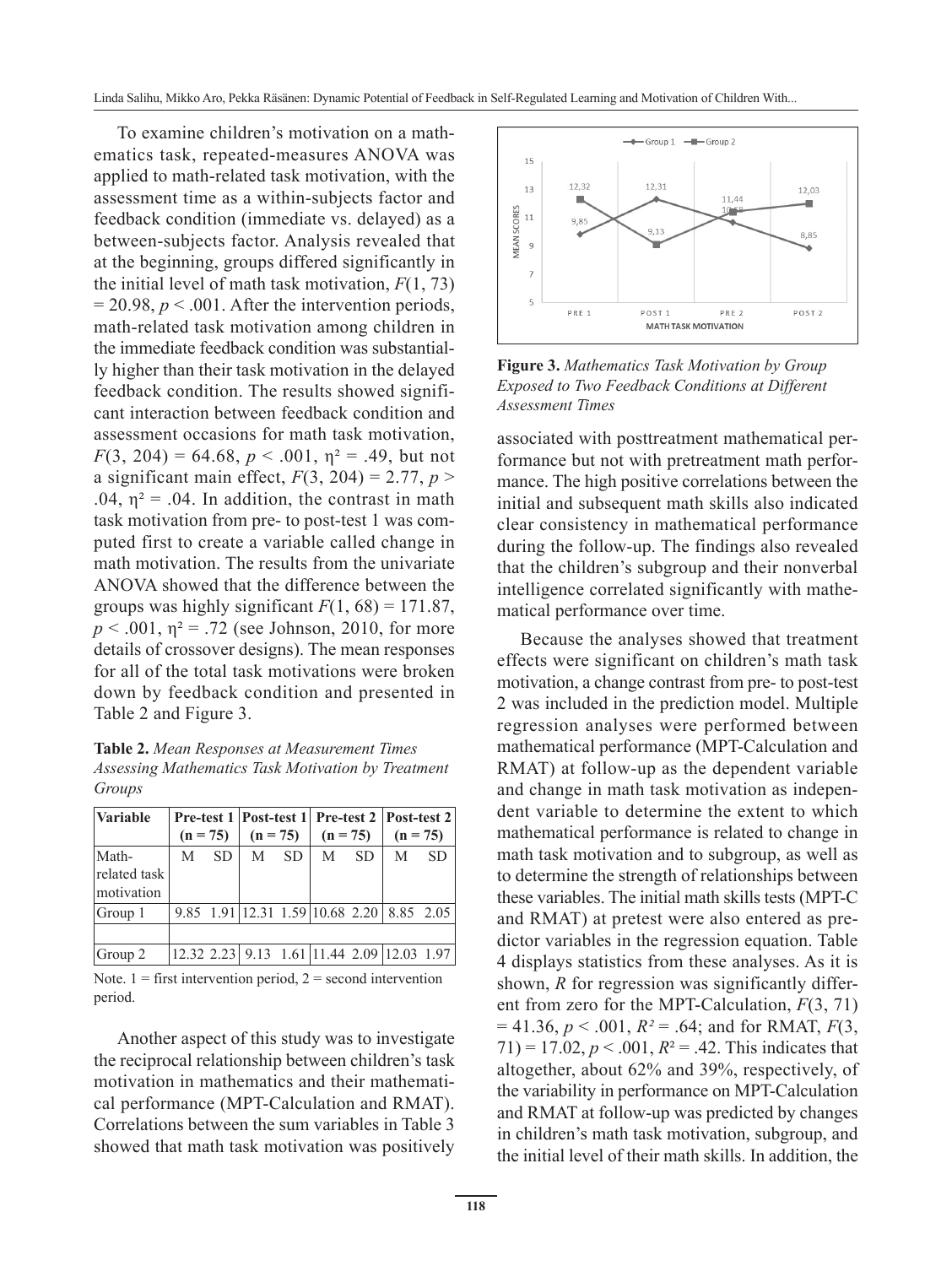To examine children's motivation on a mathematics task, repeated-measures ANOVA was applied to math-related task motivation, with the assessment time as a within-subjects factor and feedback condition (immediate vs. delayed) as a between-subjects factor. Analysis revealed that at the beginning, groups differed significantly in the initial level of math task motivation,  $F(1, 73)$  $= 20.98$ ,  $p < .001$ . After the intervention periods, math-related task motivation among children in the immediate feedback condition was substantially higher than their task motivation in the delayed feedback condition. The results showed significant interaction between feedback condition and assessment occasions for math task motivation,  $F(3, 204) = 64.68$ ,  $p < .001$ ,  $p^2 = .49$ , but not a significant main effect,  $F(3, 204) = 2.77$ ,  $p >$ .04,  $\eta^2$  = .04. In addition, the contrast in math task motivation from pre- to post-test 1 was computed first to create a variable called change in math motivation. The results from the univariate ANOVA showed that the difference between the groups was highly significant  $F(1, 68) = 171.87$ ,  $p < .001$ ,  $p^2 = .72$  (see Johnson, 2010, for more details of crossover designs). The mean responses for all of the total task motivations were broken down by feedback condition and presented in Table 2 and Figure 3.

**Table 2.** *Mean Responses at Measurement Times Assessing Mathematics Task Motivation by Treatment Groups*

| <i><b>Variable</b></i> |            |     |            |     |                                            |     | Pre-test 1   Post-test 1   Pre-test 2   Post-test 2 |           |  |
|------------------------|------------|-----|------------|-----|--------------------------------------------|-----|-----------------------------------------------------|-----------|--|
|                        | $(n = 75)$ |     | $(n = 75)$ |     | $(n = 75)$                                 |     | $(n = 75)$                                          |           |  |
| Math-                  | M          | SD. | M          | SD. | M                                          | SD. | M                                                   | <b>SD</b> |  |
| related task           |            |     |            |     |                                            |     |                                                     |           |  |
| motivation             |            |     |            |     |                                            |     |                                                     |           |  |
| Group 1                |            |     |            |     | 9.85 1.91 12.31 1.59 10.68 2.20 8.85 2.05  |     |                                                     |           |  |
|                        |            |     |            |     |                                            |     |                                                     |           |  |
| Group 2                |            |     |            |     | 12.32 2.23 9.13 1.61 11.44 2.09 12.03 1.97 |     |                                                     |           |  |

Note.  $1 =$  first intervention period,  $2 =$  second intervention period.

Another aspect of this study was to investigate the reciprocal relationship between children's task motivation in mathematics and their mathematical performance (MPT-Calculation and RMAT). Correlations between the sum variables in Table 3 showed that math task motivation was positively



**Figure 3.** *Mathematics Task Motivation by Group Exposed to Two Feedback Conditions at Different Assessment Times* 

associated with posttreatment mathematical performance but not with pretreatment math performance. The high positive correlations between the initial and subsequent math skills also indicated clear consistency in mathematical performance during the follow-up. The findings also revealed that the children's subgroup and their nonverbal intelligence correlated significantly with mathematical performance over time.

Because the analyses showed that treatment effects were significant on children's math task motivation, a change contrast from pre- to post-test 2 was included in the prediction model. Multiple regression analyses were performed between mathematical performance (MPT-Calculation and RMAT) at follow-up as the dependent variable and change in math task motivation as independent variable to determine the extent to which mathematical performance is related to change in math task motivation and to subgroup, as well as to determine the strength of relationships between these variables. The initial math skills tests (MPT-C and RMAT) at pretest were also entered as predictor variables in the regression equation. Table 4 displays statistics from these analyses. As it is shown, *R* for regression was significantly different from zero for the MPT-Calculation, *F*(3, 71)  $= 41.36, p < .001, R^2 = .64$ ; and for RMAT,  $F(3,$  $71$ ) = 17.02, *p* < .001, *R*<sup>2</sup> = .42. This indicates that altogether, about 62% and 39%, respectively, of the variability in performance on MPT-Calculation and RMAT at follow-up was predicted by changes in children's math task motivation, subgroup, and the initial level of their math skills. In addition, the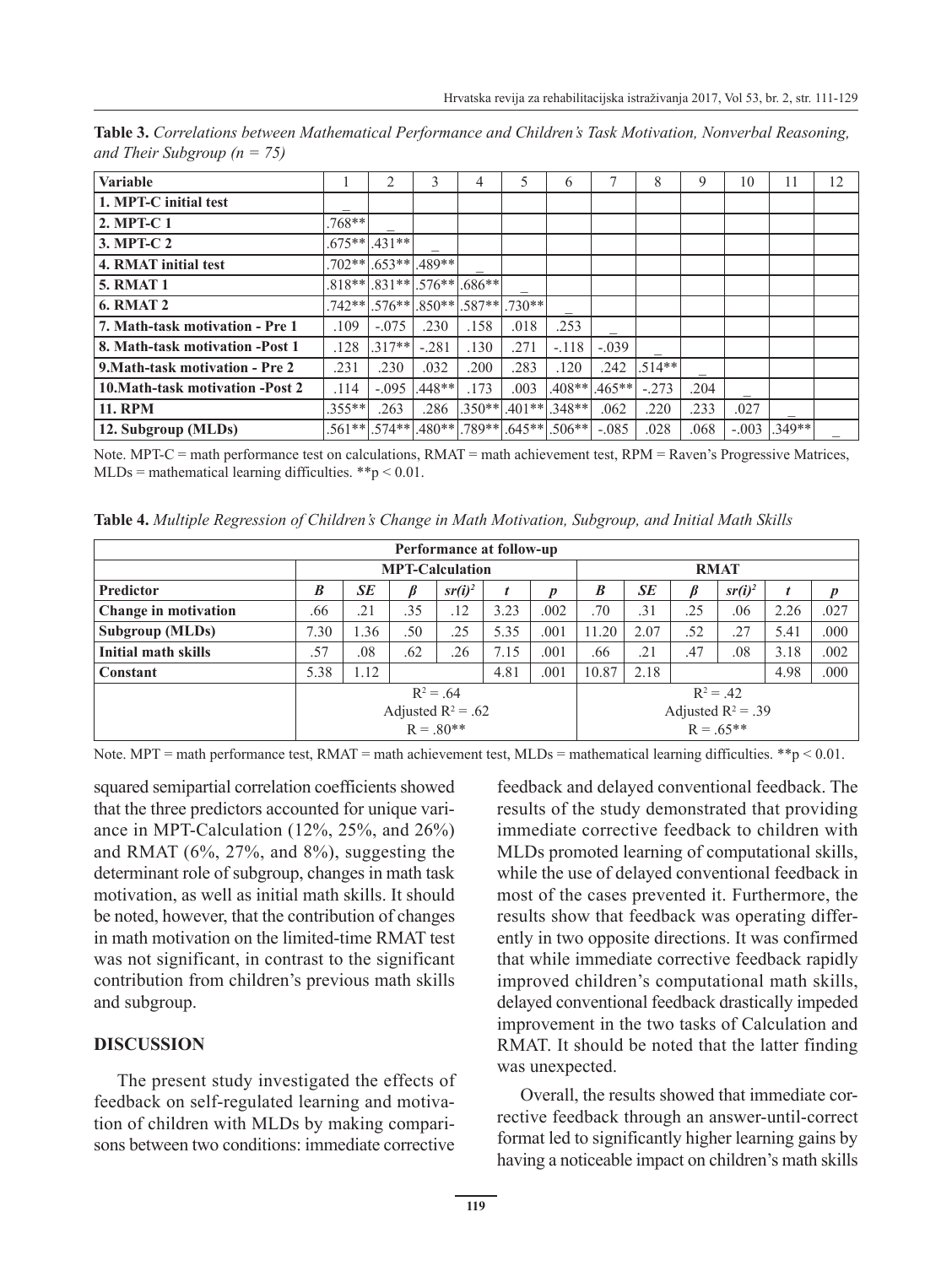| <b>Variable</b>                  |           | $\mathfrak{D}$             | 3        | 4               | 5        | 6        |          | 8        | 9    | 10      | 11     | 12 |
|----------------------------------|-----------|----------------------------|----------|-----------------|----------|----------|----------|----------|------|---------|--------|----|
| 1. MPT-C initial test            |           |                            |          |                 |          |          |          |          |      |         |        |    |
| 2. MPT-C 1                       | .768**    |                            |          |                 |          |          |          |          |      |         |        |    |
| 3. MPT-C 2                       | $.675**$  | $.431**$                   |          |                 |          |          |          |          |      |         |        |    |
| 4. RMAT initial test             | $.702**$  | $.653**$                   | .489**   |                 |          |          |          |          |      |         |        |    |
| <b>5. RMAT 1</b>                 |           | $.818**$ $.831**$ $.831**$ | $.576**$ | $.686**$        |          |          |          |          |      |         |        |    |
| <b>6. RMAT 2</b>                 |           | $.742**$ .576**            |          | $.850**$ .587** | $.730**$ |          |          |          |      |         |        |    |
| 7. Math-task motivation - Pre 1  | .109      | $-.075$                    | .230     | .158            | .018     | .253     |          |          |      |         |        |    |
| 8. Math-task motivation -Post 1  | .128      | $.317**$                   | $-.281$  | .130            | .271     | $-.118$  | $-.039$  |          |      |         |        |    |
| 9. Math-task motivation - Pre 2  | .231      | .230                       | .032     | .200            | .283     | .120     | .242     | $.514**$ |      |         |        |    |
| 10. Math-task motivation -Post 2 | .114      | $-.095$                    | $.448**$ | .173            | .003     | .408**   | $.465**$ | $-.273$  | .204 |         |        |    |
| <b>11. RPM</b>                   | $.355***$ | .263                       | .286     | $.350**$        | $.401**$ | $.348**$ | .062     | .220     | .233 | .027    |        |    |
| 12. Subgroup (MLDs)              | $.561**$  | $.574**$                   |          | $.480**$ .789** | $.645**$ | $.506**$ | $-.085$  | .028     | .068 | $-.003$ | .349** |    |

**Table 3.** *Correlations between Mathematical Performance and Children's Task Motivation, Nonverbal Reasoning, and Their Subgroup (n = 75)*

Note. MPT-C = math performance test on calculations, RMAT = math achievement test, RPM = Raven's Progressive Matrices,  $MLDs$  = mathematical learning difficulties. \*\*p < 0.01.

**Table 4.** *Multiple Regression of Children's Change in Math Motivation, Subgroup, and Initial Math Skills*

| Performance at follow-up |                              |      |     |                    |      |                  |                                     |             |     |                    |      |      |  |  |
|--------------------------|------------------------------|------|-----|--------------------|------|------------------|-------------------------------------|-------------|-----|--------------------|------|------|--|--|
|                          | <b>MPT-Calculation</b>       |      |     |                    |      |                  | <b>RMAT</b>                         |             |     |                    |      |      |  |  |
| <b>Predictor</b>         | B                            | SE   |     | sr(i) <sup>2</sup> | t    | $\boldsymbol{n}$ | B                                   | <b>SE</b>   | ß   | sr(i) <sup>2</sup> | t    | p    |  |  |
| Change in motivation     | .66                          | .21  | .35 | .12                | 3.23 | .002             | .70                                 | .31         | .25 | .06                | 2.26 | .027 |  |  |
| Subgroup (MLDs)          | 7.30                         | 1.36 | .50 | .25                | 5.35 | .001             | 11.20                               | 2.07        | .52 | .27                | 5.41 | .000 |  |  |
| Initial math skills      | .57                          | .08  | .62 | .26                | 7.15 | .001             | .66                                 | .21         | .47 | .08                | 3.18 | .002 |  |  |
| Constant                 | 5.38<br>1.12<br>4.81<br>.001 |      |     |                    |      |                  | 10.87                               | 2.18        |     |                    | 4.98 | .000 |  |  |
|                          | $R^2 = .64$                  |      |     |                    |      |                  |                                     | $R^2 = .42$ |     |                    |      |      |  |  |
|                          | Adjusted $R^2$ = .62         |      |     |                    |      |                  | Adjusted $R^2 = .39$<br>$R = .65**$ |             |     |                    |      |      |  |  |
|                          | $R = .80**$                  |      |     |                    |      |                  |                                     |             |     |                    |      |      |  |  |

Note. MPT = math performance test, RMAT = math achievement test, MLDs = mathematical learning difficulties. \*\*p < 0.01.

squared semipartial correlation coefficients showed that the three predictors accounted for unique variance in MPT-Calculation (12%, 25%, and 26%) and RMAT (6%, 27%, and 8%), suggesting the determinant role of subgroup, changes in math task motivation, as well as initial math skills. It should be noted, however, that the contribution of changes in math motivation on the limited-time RMAT test was not significant, in contrast to the significant contribution from children's previous math skills and subgroup.

# **DISCUSSION**

The present study investigated the effects of feedback on self-regulated learning and motivation of children with MLDs by making comparisons between two conditions: immediate corrective feedback and delayed conventional feedback. The results of the study demonstrated that providing immediate corrective feedback to children with MLDs promoted learning of computational skills, while the use of delayed conventional feedback in most of the cases prevented it. Furthermore, the results show that feedback was operating differently in two opposite directions. It was confirmed that while immediate corrective feedback rapidly improved children's computational math skills, delayed conventional feedback drastically impeded improvement in the two tasks of Calculation and RMAT. It should be noted that the latter finding was unexpected.

Overall, the results showed that immediate corrective feedback through an answer-until-correct format led to significantly higher learning gains by having a noticeable impact on children's math skills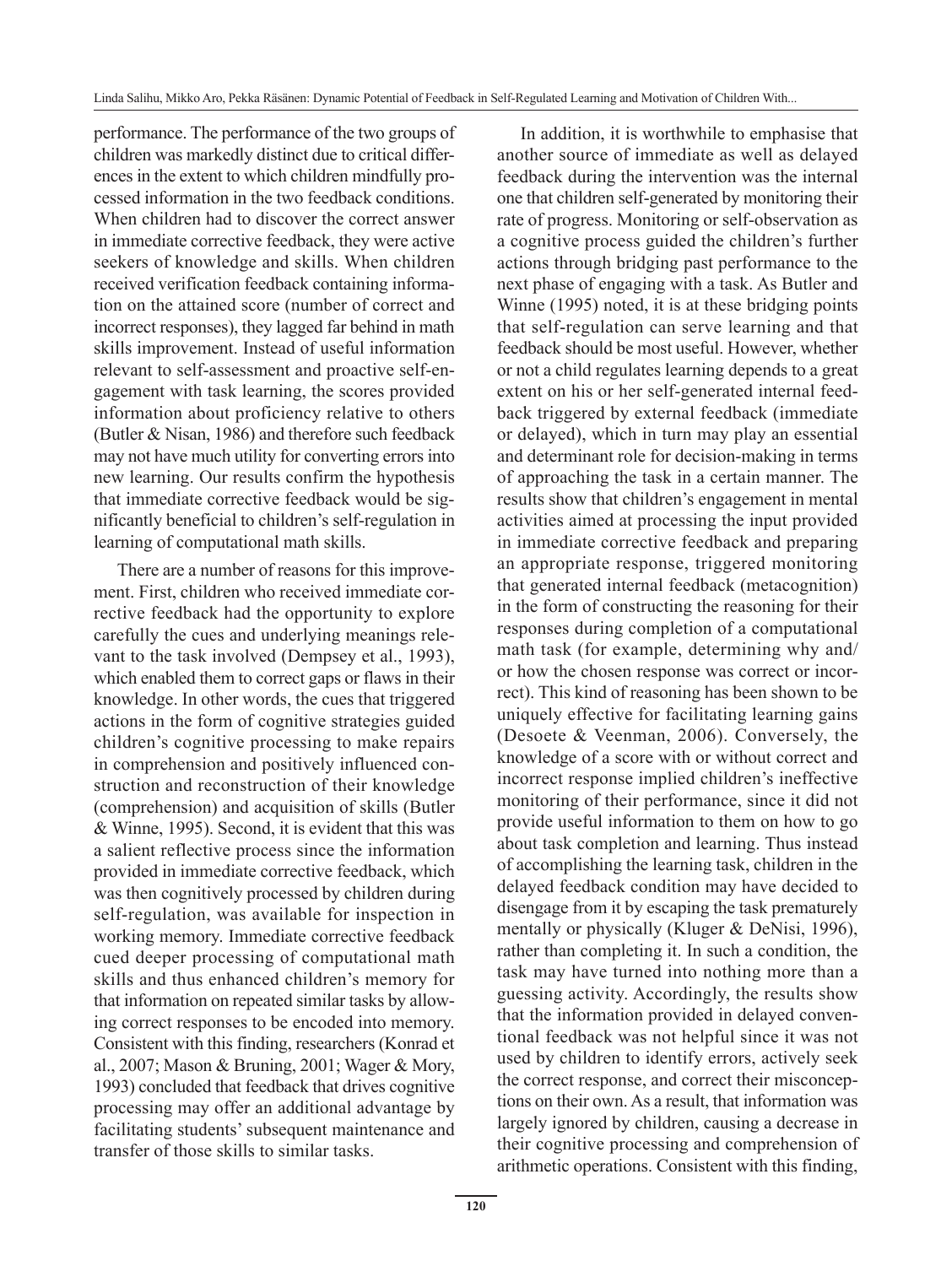performance. The performance of the two groups of children was markedly distinct due to critical differences in the extent to which children mindfully processed information in the two feedback conditions. When children had to discover the correct answer in immediate corrective feedback, they were active seekers of knowledge and skills. When children received verification feedback containing information on the attained score (number of correct and incorrect responses), they lagged far behind in math skills improvement. Instead of useful information relevant to self-assessment and proactive self-engagement with task learning, the scores provided information about proficiency relative to others (Butler & Nisan, 1986) and therefore such feedback may not have much utility for converting errors into new learning. Our results confirm the hypothesis that immediate corrective feedback would be significantly beneficial to children's self-regulation in learning of computational math skills.

There are a number of reasons for this improvement. First, children who received immediate corrective feedback had the opportunity to explore carefully the cues and underlying meanings relevant to the task involved (Dempsey et al., 1993), which enabled them to correct gaps or flaws in their knowledge. In other words, the cues that triggered actions in the form of cognitive strategies guided children's cognitive processing to make repairs in comprehension and positively influenced construction and reconstruction of their knowledge (comprehension) and acquisition of skills (Butler & Winne, 1995). Second, it is evident that this was a salient reflective process since the information provided in immediate corrective feedback, which was then cognitively processed by children during self-regulation, was available for inspection in working memory. Immediate corrective feedback cued deeper processing of computational math skills and thus enhanced children's memory for that information on repeated similar tasks by allowing correct responses to be encoded into memory. Consistent with this finding, researchers (Konrad et al., 2007; Mason & Bruning, 2001; Wager & Mory, 1993) concluded that feedback that drives cognitive processing may offer an additional advantage by facilitating students' subsequent maintenance and transfer of those skills to similar tasks.

In addition, it is worthwhile to emphasise that another source of immediate as well as delayed feedback during the intervention was the internal one that children self-generated by monitoring their rate of progress. Monitoring or self-observation as a cognitive process guided the children's further actions through bridging past performance to the next phase of engaging with a task. As Butler and Winne (1995) noted, it is at these bridging points that self-regulation can serve learning and that feedback should be most useful. However, whether or not a child regulates learning depends to a great extent on his or her self-generated internal feedback triggered by external feedback (immediate or delayed), which in turn may play an essential and determinant role for decision-making in terms of approaching the task in a certain manner. The results show that children's engagement in mental activities aimed at processing the input provided in immediate corrective feedback and preparing an appropriate response, triggered monitoring that generated internal feedback (metacognition) in the form of constructing the reasoning for their responses during completion of a computational math task (for example, determining why and/ or how the chosen response was correct or incorrect). This kind of reasoning has been shown to be uniquely effective for facilitating learning gains (Desoete & Veenman, 2006). Conversely, the knowledge of a score with or without correct and incorrect response implied children's ineffective monitoring of their performance, since it did not provide useful information to them on how to go about task completion and learning. Thus instead of accomplishing the learning task, children in the delayed feedback condition may have decided to disengage from it by escaping the task prematurely mentally or physically (Kluger & DeNisi, 1996), rather than completing it. In such a condition, the task may have turned into nothing more than a guessing activity. Accordingly, the results show that the information provided in delayed conventional feedback was not helpful since it was not used by children to identify errors, actively seek the correct response, and correct their misconceptions on their own. As a result, that information was largely ignored by children, causing a decrease in their cognitive processing and comprehension of arithmetic operations. Consistent with this finding,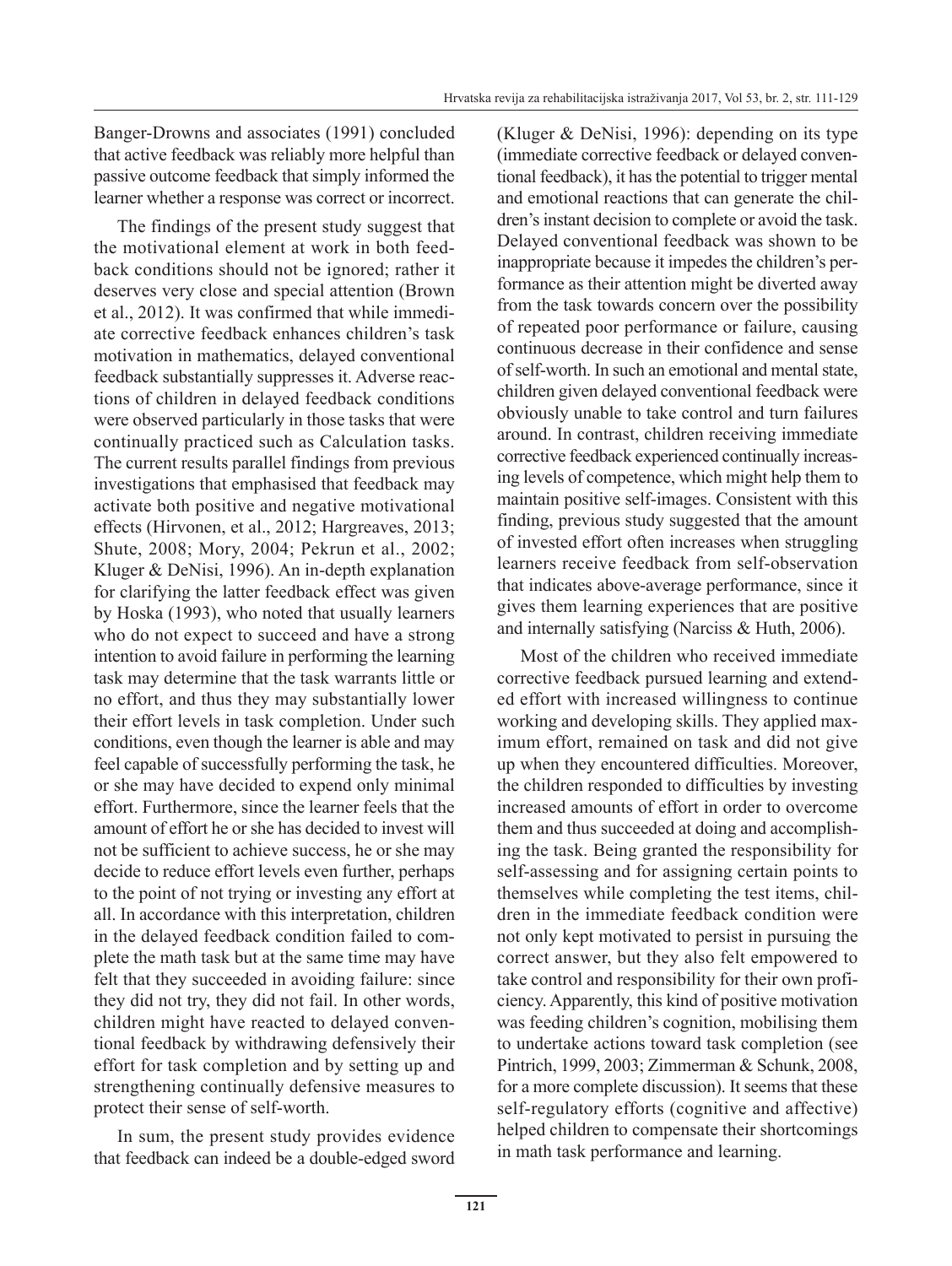Banger-Drowns and associates (1991) concluded that active feedback was reliably more helpful than passive outcome feedback that simply informed the learner whether a response was correct or incorrect.

The findings of the present study suggest that the motivational element at work in both feedback conditions should not be ignored; rather it deserves very close and special attention (Brown et al., 2012). It was confirmed that while immediate corrective feedback enhances children's task motivation in mathematics, delayed conventional feedback substantially suppresses it. Adverse reactions of children in delayed feedback conditions were observed particularly in those tasks that were continually practiced such as Calculation tasks. The current results parallel findings from previous investigations that emphasised that feedback may activate both positive and negative motivational effects (Hirvonen, et al., 2012; Hargreaves, 2013; Shute, 2008; Mory, 2004; Pekrun et al., 2002; Kluger & DeNisi, 1996). An in-depth explanation for clarifying the latter feedback effect was given by Hoska (1993), who noted that usually learners who do not expect to succeed and have a strong intention to avoid failure in performing the learning task may determine that the task warrants little or no effort, and thus they may substantially lower their effort levels in task completion. Under such conditions, even though the learner is able and may feel capable of successfully performing the task, he or she may have decided to expend only minimal effort. Furthermore, since the learner feels that the amount of effort he or she has decided to invest will not be sufficient to achieve success, he or she may decide to reduce effort levels even further, perhaps to the point of not trying or investing any effort at all. In accordance with this interpretation, children in the delayed feedback condition failed to complete the math task but at the same time may have felt that they succeeded in avoiding failure: since they did not try, they did not fail. In other words, children might have reacted to delayed conventional feedback by withdrawing defensively their effort for task completion and by setting up and strengthening continually defensive measures to protect their sense of self-worth.

In sum, the present study provides evidence that feedback can indeed be a double-edged sword (Kluger & DeNisi, 1996): depending on its type (immediate corrective feedback or delayed conventional feedback), it has the potential to trigger mental and emotional reactions that can generate the children's instant decision to complete or avoid the task. Delayed conventional feedback was shown to be inappropriate because it impedes the children's performance as their attention might be diverted away from the task towards concern over the possibility of repeated poor performance or failure, causing continuous decrease in their confidence and sense of self-worth. In such an emotional and mental state, children given delayed conventional feedback were obviously unable to take control and turn failures around. In contrast, children receiving immediate corrective feedback experienced continually increasing levels of competence, which might help them to maintain positive self-images. Consistent with this finding, previous study suggested that the amount of invested effort often increases when struggling learners receive feedback from self-observation that indicates above-average performance, since it gives them learning experiences that are positive and internally satisfying (Narciss & Huth, 2006).

Most of the children who received immediate corrective feedback pursued learning and extended effort with increased willingness to continue working and developing skills. They applied maximum effort, remained on task and did not give up when they encountered difficulties. Moreover, the children responded to difficulties by investing increased amounts of effort in order to overcome them and thus succeeded at doing and accomplishing the task. Being granted the responsibility for self-assessing and for assigning certain points to themselves while completing the test items, children in the immediate feedback condition were not only kept motivated to persist in pursuing the correct answer, but they also felt empowered to take control and responsibility for their own proficiency. Apparently, this kind of positive motivation was feeding children's cognition, mobilising them to undertake actions toward task completion (see Pintrich, 1999, 2003; Zimmerman & Schunk, 2008, for a more complete discussion). It seems that these self-regulatory efforts (cognitive and affective) helped children to compensate their shortcomings in math task performance and learning.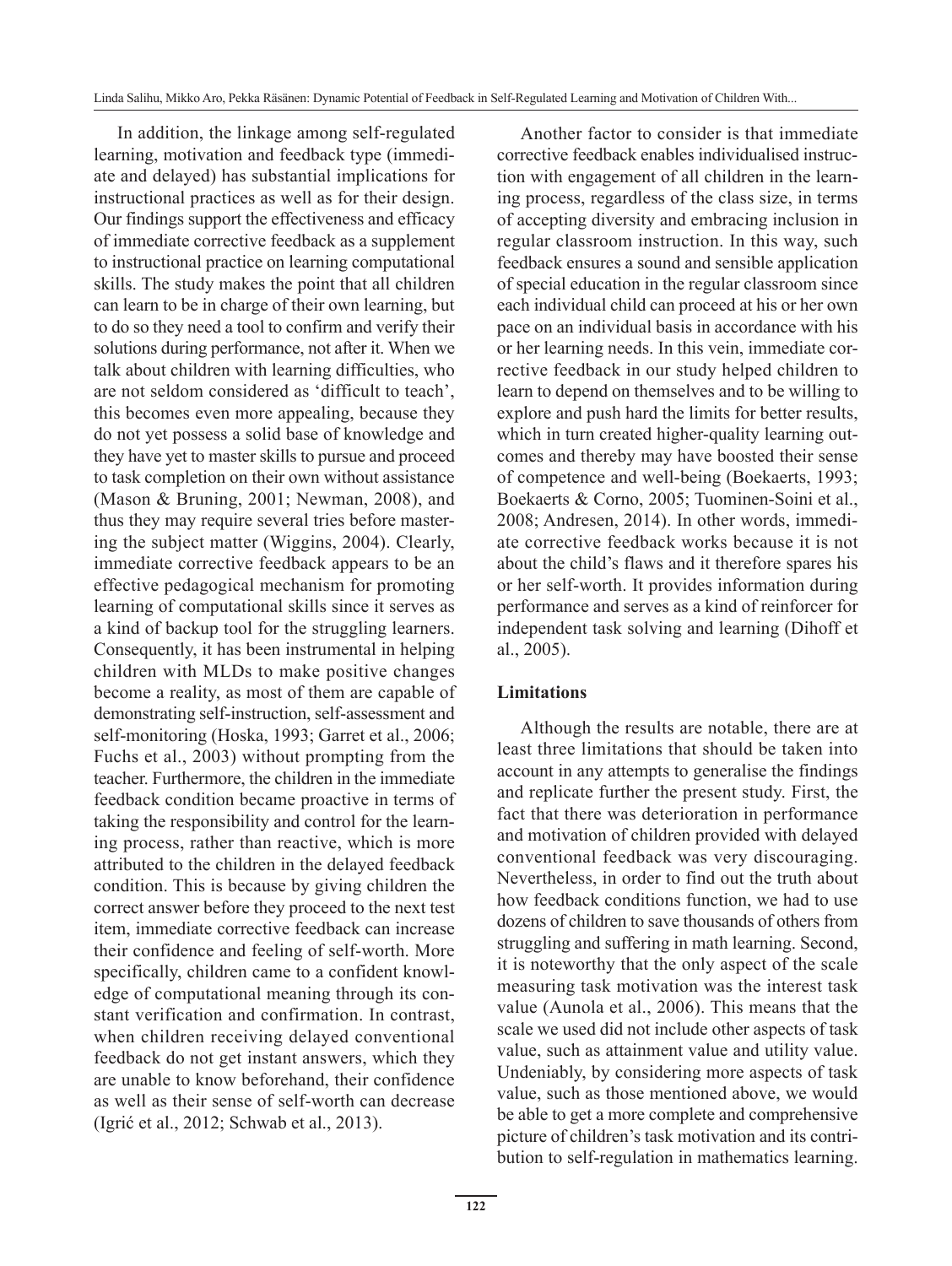In addition, the linkage among self-regulated learning, motivation and feedback type (immediate and delayed) has substantial implications for instructional practices as well as for their design. Our findings support the effectiveness and efficacy of immediate corrective feedback as a supplement to instructional practice on learning computational skills. The study makes the point that all children can learn to be in charge of their own learning, but to do so they need a tool to confirm and verify their solutions during performance, not after it. When we talk about children with learning difficulties, who are not seldom considered as 'difficult to teach', this becomes even more appealing, because they do not yet possess a solid base of knowledge and they have yet to master skills to pursue and proceed to task completion on their own without assistance (Mason & Bruning, 2001; Newman, 2008), and thus they may require several tries before mastering the subject matter (Wiggins, 2004). Clearly, immediate corrective feedback appears to be an effective pedagogical mechanism for promoting learning of computational skills since it serves as a kind of backup tool for the struggling learners. Consequently, it has been instrumental in helping children with MLDs to make positive changes become a reality, as most of them are capable of demonstrating self-instruction, self-assessment and self-monitoring (Hoska, 1993; Garret et al., 2006; Fuchs et al., 2003) without prompting from the teacher. Furthermore, the children in the immediate feedback condition became proactive in terms of taking the responsibility and control for the learning process, rather than reactive, which is more attributed to the children in the delayed feedback condition. This is because by giving children the correct answer before they proceed to the next test item, immediate corrective feedback can increase their confidence and feeling of self-worth. More specifically, children came to a confident knowledge of computational meaning through its constant verification and confirmation. In contrast, when children receiving delayed conventional feedback do not get instant answers, which they are unable to know beforehand, their confidence as well as their sense of self-worth can decrease (Igrić et al., 2012; Schwab et al., 2013).

Another factor to consider is that immediate corrective feedback enables individualised instruction with engagement of all children in the learning process, regardless of the class size, in terms of accepting diversity and embracing inclusion in regular classroom instruction. In this way, such feedback ensures a sound and sensible application of special education in the regular classroom since each individual child can proceed at his or her own pace on an individual basis in accordance with his or her learning needs. In this vein, immediate corrective feedback in our study helped children to learn to depend on themselves and to be willing to explore and push hard the limits for better results, which in turn created higher-quality learning outcomes and thereby may have boosted their sense of competence and well-being (Boekaerts, 1993; Boekaerts & Corno, 2005; Tuominen-Soini et al., 2008; Andresen, 2014). In other words, immediate corrective feedback works because it is not about the child's flaws and it therefore spares his or her self-worth. It provides information during performance and serves as a kind of reinforcer for independent task solving and learning (Dihoff et al., 2005).

# **Limitations**

Although the results are notable, there are at least three limitations that should be taken into account in any attempts to generalise the findings and replicate further the present study. First, the fact that there was deterioration in performance and motivation of children provided with delayed conventional feedback was very discouraging. Nevertheless, in order to find out the truth about how feedback conditions function, we had to use dozens of children to save thousands of others from struggling and suffering in math learning. Second, it is noteworthy that the only aspect of the scale measuring task motivation was the interest task value (Aunola et al., 2006). This means that the scale we used did not include other aspects of task value, such as attainment value and utility value. Undeniably, by considering more aspects of task value, such as those mentioned above, we would be able to get a more complete and comprehensive picture of children's task motivation and its contribution to self-regulation in mathematics learning.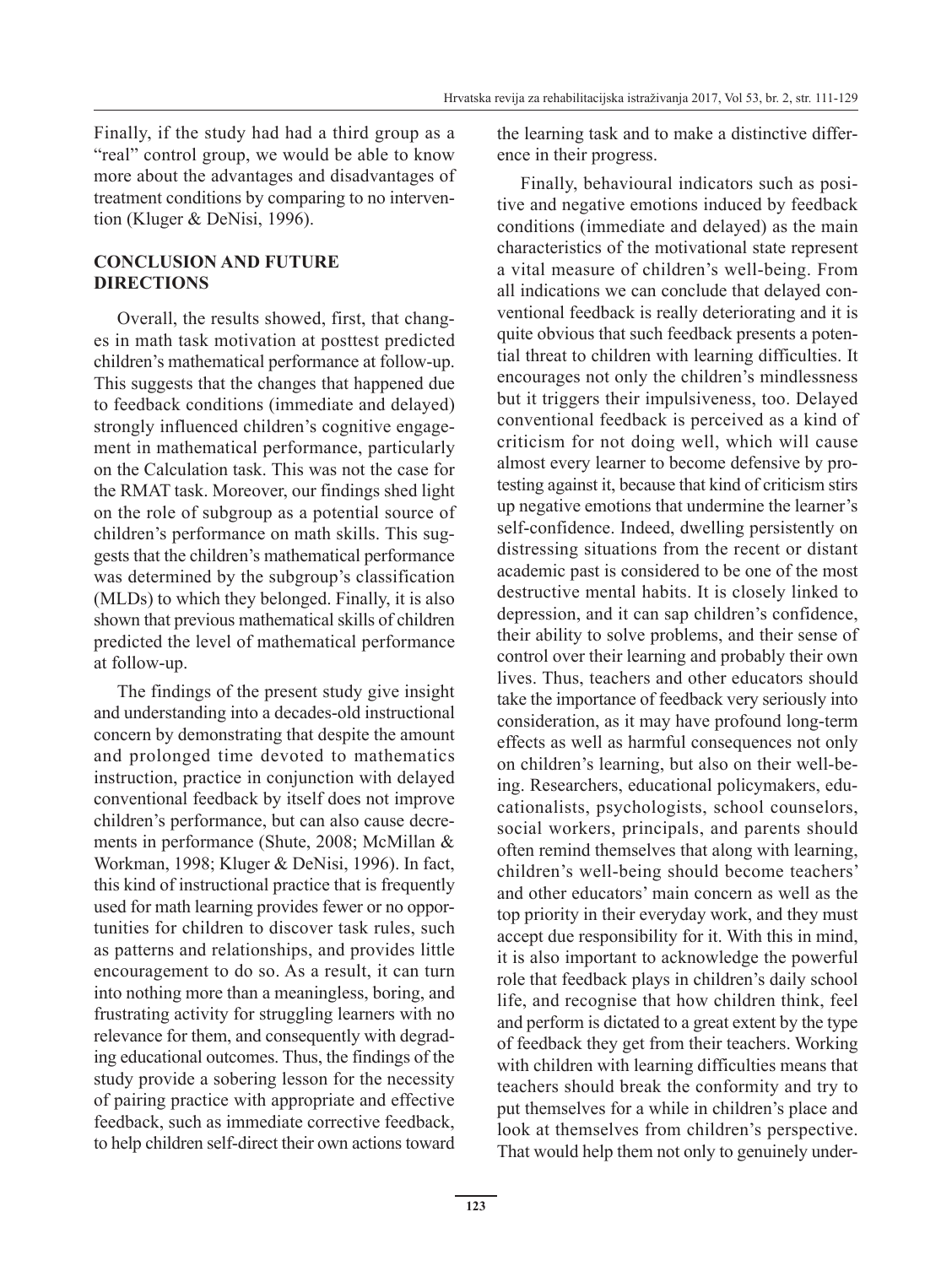Finally, if the study had had a third group as a "real" control group, we would be able to know more about the advantages and disadvantages of treatment conditions by comparing to no intervention (Kluger & DeNisi, 1996).

# **CONCLUSION AND FUTURE DIRECTIONS**

Overall, the results showed, first, that changes in math task motivation at posttest predicted children's mathematical performance at follow-up. This suggests that the changes that happened due to feedback conditions (immediate and delayed) strongly influenced children's cognitive engagement in mathematical performance, particularly on the Calculation task. This was not the case for the RMAT task. Moreover, our findings shed light on the role of subgroup as a potential source of children's performance on math skills. This suggests that the children's mathematical performance was determined by the subgroup's classification (MLDs) to which they belonged. Finally, it is also shown that previous mathematical skills of children predicted the level of mathematical performance at follow-up.

The findings of the present study give insight and understanding into a decades-old instructional concern by demonstrating that despite the amount and prolonged time devoted to mathematics instruction, practice in conjunction with delayed conventional feedback by itself does not improve children's performance, but can also cause decrements in performance (Shute, 2008; McMillan & Workman, 1998; Kluger & DeNisi, 1996). In fact, this kind of instructional practice that is frequently used for math learning provides fewer or no opportunities for children to discover task rules, such as patterns and relationships, and provides little encouragement to do so. As a result, it can turn into nothing more than a meaningless, boring, and frustrating activity for struggling learners with no relevance for them, and consequently with degrading educational outcomes. Thus, the findings of the study provide a sobering lesson for the necessity of pairing practice with appropriate and effective feedback, such as immediate corrective feedback, to help children self-direct their own actions toward the learning task and to make a distinctive difference in their progress.

Finally, behavioural indicators such as positive and negative emotions induced by feedback conditions (immediate and delayed) as the main characteristics of the motivational state represent a vital measure of children's well-being. From all indications we can conclude that delayed conventional feedback is really deteriorating and it is quite obvious that such feedback presents a potential threat to children with learning difficulties. It encourages not only the children's mindlessness but it triggers their impulsiveness, too. Delayed conventional feedback is perceived as a kind of criticism for not doing well, which will cause almost every learner to become defensive by protesting against it, because that kind of criticism stirs up negative emotions that undermine the learner's self-confidence. Indeed, dwelling persistently on distressing situations from the recent or distant academic past is considered to be one of the most destructive mental habits. It is closely linked to depression, and it can sap children's confidence, their ability to solve problems, and their sense of control over their learning and probably their own lives. Thus, teachers and other educators should take the importance of feedback very seriously into consideration, as it may have profound long-term effects as well as harmful consequences not only on children's learning, but also on their well-being. Researchers, educational policymakers, educationalists, psychologists, school counselors, social workers, principals, and parents should often remind themselves that along with learning, children's well-being should become teachers' and other educators' main concern as well as the top priority in their everyday work, and they must accept due responsibility for it. With this in mind, it is also important to acknowledge the powerful role that feedback plays in children's daily school life, and recognise that how children think, feel and perform is dictated to a great extent by the type of feedback they get from their teachers. Working with children with learning difficulties means that teachers should break the conformity and try to put themselves for a while in children's place and look at themselves from children's perspective. That would help them not only to genuinely under-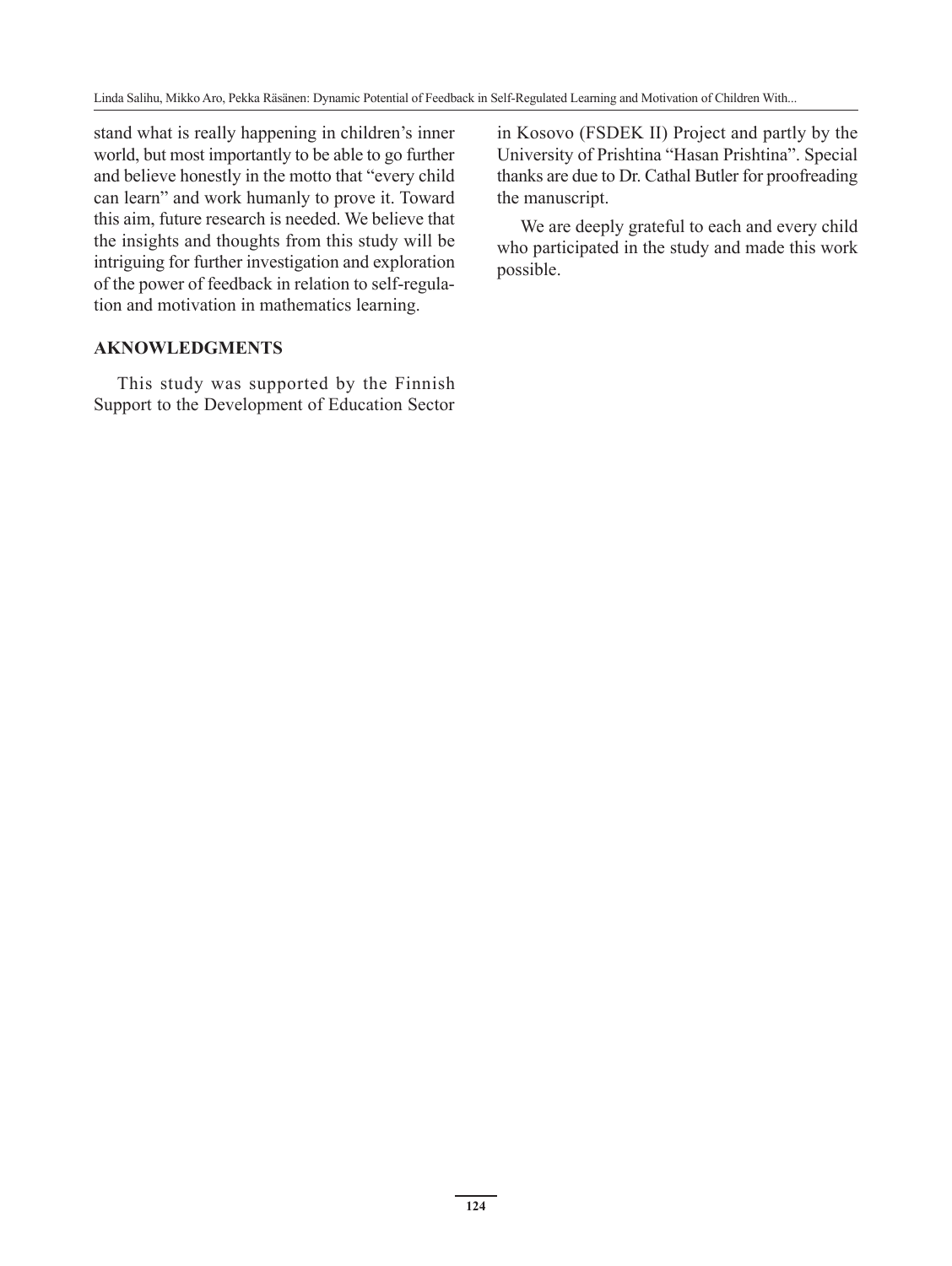stand what is really happening in children's inner world, but most importantly to be able to go further and believe honestly in the motto that "every child can learn" and work humanly to prove it. Toward this aim, future research is needed. We believe that the insights and thoughts from this study will be intriguing for further investigation and exploration of the power of feedback in relation to self-regulation and motivation in mathematics learning.

# **AKNOWLEDGMENTS**

This study was supported by the Finnish Support to the Development of Education Sector in Kosovo (FSDEK II) Project and partly by the University of Prishtina "Hasan Prishtina". Special thanks are due to Dr. Cathal Butler for proofreading the manuscript.

We are deeply grateful to each and every child who participated in the study and made this work possible.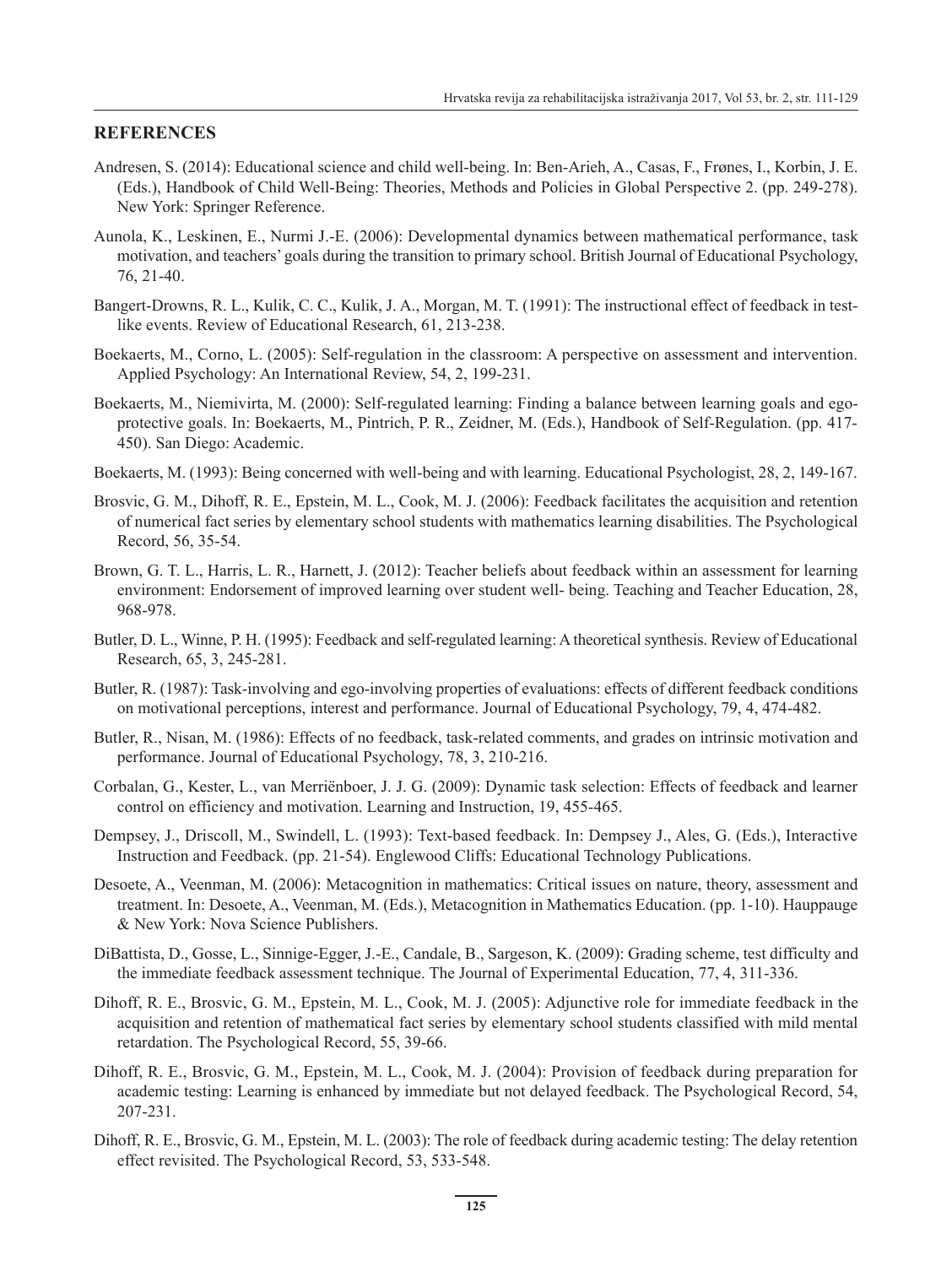#### **REFERENCES**

- Andresen, S. (2014): Educational science and child well-being. In: Ben-Arieh, A., Casas, F., Frønes, I., Korbin, J. E. (Eds.), Handbook of Child Well-Being: Theories, Methods and Policies in Global Perspective 2. (pp. 249-278). New York: Springer Reference.
- Aunola, K., Leskinen, E., Nurmi J.-E. (2006): Developmental dynamics between mathematical performance, task motivation, and teachers' goals during the transition to primary school. British Journal of Educational Psychology, 76, 21-40.
- Bangert-Drowns, R. L., Kulik, C. C., Kulik, J. A., Morgan, M. T. (1991): The instructional effect of feedback in testlike events. Review of Educational Research, 61, 213-238.
- Boekaerts, M., Corno, L. (2005): Self-regulation in the classroom: A perspective on assessment and intervention. Applied Psychology: An International Review, 54, 2, 199-231.
- Boekaerts, M., Niemivirta, M. (2000): Self-regulated learning: Finding a balance between learning goals and egoprotective goals. In: Boekaerts, M., Pintrich, P. R., Zeidner, M. (Eds.), Handbook of Self-Regulation. (pp. 417- 450). San Diego: Academic.
- Boekaerts, M. (1993): Being concerned with well-being and with learning. Educational Psychologist, 28, 2, 149-167.
- Brosvic, G. M., Dihoff, R. E., Epstein, M. L., Cook, M. J. (2006): Feedback facilitates the acquisition and retention of numerical fact series by elementary school students with mathematics learning disabilities. The Psychological Record, 56, 35-54.
- Brown, G. T. L., Harris, L. R., Harnett, J. (2012): Teacher beliefs about feedback within an assessment for learning environment: Endorsement of improved learning over student well- being. Teaching and Teacher Education, 28, 968-978.
- Butler, D. L., Winne, P. H. (1995): Feedback and self-regulated learning: A theoretical synthesis. Review of Educational Research, 65, 3, 245-281.
- Butler, R. (1987): Task-involving and ego-involving properties of evaluations: effects of different feedback conditions on motivational perceptions, interest and performance. Journal of Educational Psychology, 79, 4, 474-482.
- Butler, R., Nisan, M. (1986): Effects of no feedback, task-related comments, and grades on intrinsic motivation and performance. Journal of Educational Psychology, 78, 3, 210-216.
- Corbalan, G., Kester, L., van Merriënboer, J. J. G. (2009): Dynamic task selection: Effects of feedback and learner control on efficiency and motivation. Learning and Instruction, 19, 455-465.
- Dempsey, J., Driscoll, M., Swindell, L. (1993): Text-based feedback. In: Dempsey J., Ales, G. (Eds.), Interactive Instruction and Feedback. (pp. 21-54). Englewood Cliffs: Educational Technology Publications.
- Desoete, A., Veenman, M. (2006): Metacognition in mathematics: Critical issues on nature, theory, assessment and treatment. In: Desoete, A., Veenman, M. (Eds.), Metacognition in Mathematics Education. (pp. 1-10). Hauppauge & New York: Nova Science Publishers.
- DiBattista, D., Gosse, L., Sinnige-Egger, J.-E., Candale, B., Sargeson, K. (2009): Grading scheme, test difficulty and the immediate feedback assessment technique. The Journal of Experimental Education, 77, 4, 311-336.
- Dihoff, R. E., Brosvic, G. M., Epstein, M. L., Cook, M. J. (2005): Adjunctive role for immediate feedback in the acquisition and retention of mathematical fact series by elementary school students classified with mild mental retardation. The Psychological Record, 55, 39-66.
- Dihoff, R. E., Brosvic, G. M., Epstein, M. L., Cook, M. J. (2004): Provision of feedback during preparation for academic testing: Learning is enhanced by immediate but not delayed feedback. The Psychological Record, 54, 207-231.
- Dihoff, R. E., Brosvic, G. M., Epstein, M. L. (2003): The role of feedback during academic testing: The delay retention effect revisited. The Psychological Record, 53, 533-548.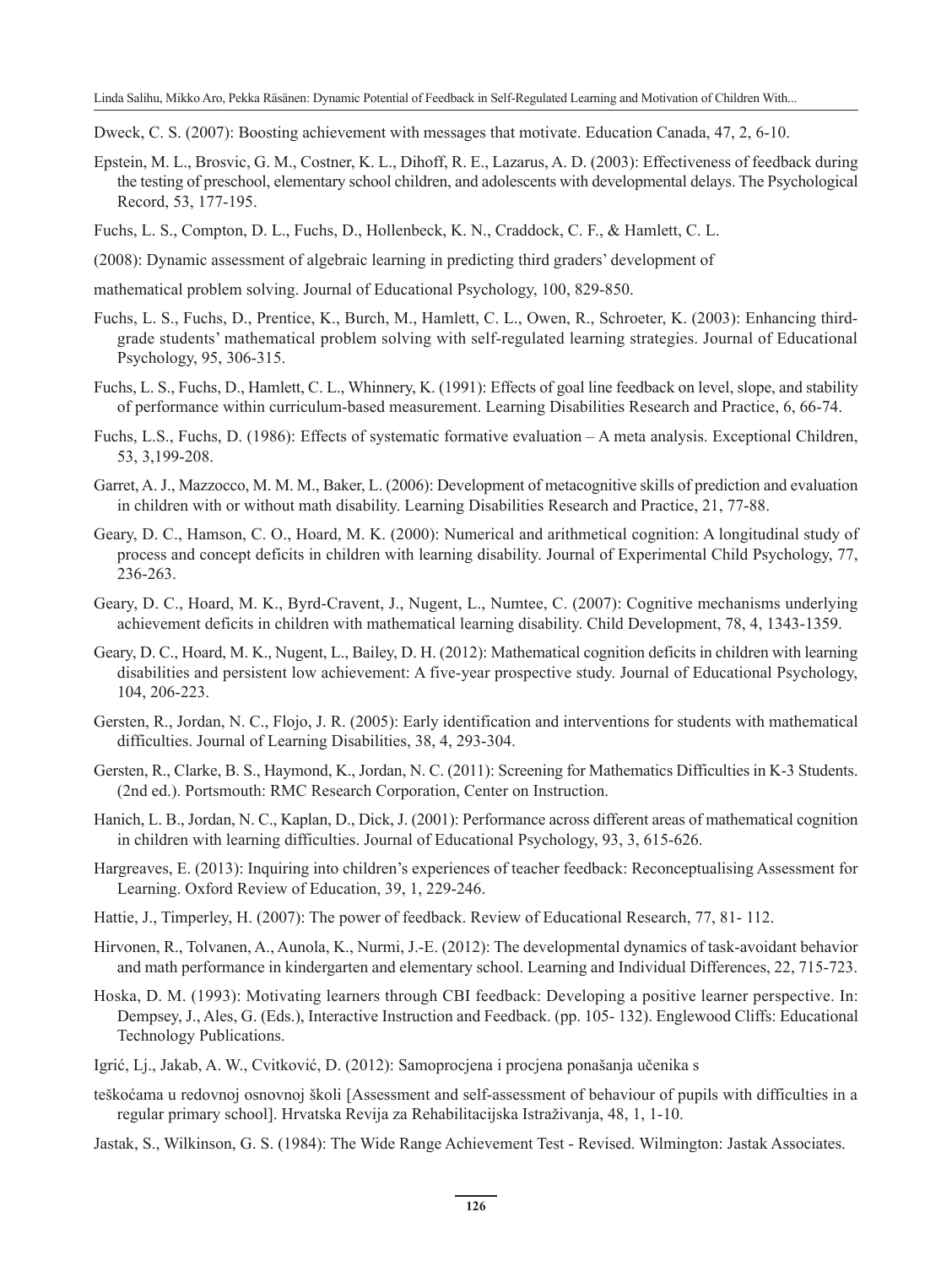Dweck, C. S. (2007): Boosting achievement with messages that motivate. Education Canada, 47, 2, 6-10.

- Epstein, M. L., Brosvic, G. M., Costner, K. L., Dihoff, R. E., Lazarus, A. D. (2003): Effectiveness of feedback during the testing of preschool, elementary school children, and adolescents with developmental delays. The Psychological Record, 53, 177-195.
- Fuchs, L. S., Compton, D. L., Fuchs, D., Hollenbeck, K. N., Craddock, C. F., & Hamlett, C. L.
- (2008): Dynamic assessment of algebraic learning in predicting third graders' development of
- mathematical problem solving. Journal of Educational Psychology, 100, 829-850.
- Fuchs, L. S., Fuchs, D., Prentice, K., Burch, M., Hamlett, C. L., Owen, R., Schroeter, K. (2003): Enhancing thirdgrade students' mathematical problem solving with self-regulated learning strategies. Journal of Educational Psychology, 95, 306-315.
- Fuchs, L. S., Fuchs, D., Hamlett, C. L., Whinnery, K. (1991): Effects of goal line feedback on level, slope, and stability of performance within curriculum-based measurement. Learning Disabilities Research and Practice, 6, 66-74.
- Fuchs, L.S., Fuchs, D. (1986): Effects of systematic formative evaluation A meta analysis. Exceptional Children, 53, 3,199-208.
- Garret, A. J., Mazzocco, M. M. M., Baker, L. (2006): Development of metacognitive skills of prediction and evaluation in children with or without math disability. Learning Disabilities Research and Practice, 21, 77-88.
- Geary, D. C., Hamson, C. O., Hoard, M. K. (2000): Numerical and arithmetical cognition: A longitudinal study of process and concept deficits in children with learning disability. Journal of Experimental Child Psychology, 77, 236-263.
- Geary, D. C., Hoard, M. K., Byrd-Cravent, J., Nugent, L., Numtee, C. (2007): Cognitive mechanisms underlying achievement deficits in children with mathematical learning disability. Child Development, 78, 4, 1343-1359.
- Geary, D. C., Hoard, M. K., Nugent, L., Bailey, D. H. (2012): Mathematical cognition deficits in children with learning disabilities and persistent low achievement: A five-year prospective study. Journal of Educational Psychology, 104, 206-223.
- Gersten, R., Jordan, N. C., Flojo, J. R. (2005): Early identification and interventions for students with mathematical difficulties. Journal of Learning Disabilities, 38, 4, 293-304.
- Gersten, R., Clarke, B. S., Haymond, K., Jordan, N. C. (2011): Screening for Mathematics Difficulties in K-3 Students. (2nd ed.). Portsmouth: RMC Research Corporation, Center on Instruction.
- Hanich, L. B., Jordan, N. C., Kaplan, D., Dick, J. (2001): Performance across different areas of mathematical cognition in children with learning difficulties. Journal of Educational Psychology, 93, 3, 615-626.
- Hargreaves, E. (2013): Inquiring into children's experiences of teacher feedback: Reconceptualising Assessment for Learning. Oxford Review of Education, 39, 1, 229-246.
- Hattie, J., Timperley, H. (2007): The power of feedback. Review of Educational Research, 77, 81- 112.
- Hirvonen, R., Tolvanen, A., Aunola, K., Nurmi, J.-E. (2012): The developmental dynamics of task-avoidant behavior and math performance in kindergarten and elementary school. Learning and Individual Differences, 22, 715-723.
- Hoska, D. M. (1993): Motivating learners through CBI feedback: Developing a positive learner perspective. In: Dempsey, J., Ales, G. (Eds.), Interactive Instruction and Feedback. (pp. 105- 132). Englewood Cliffs: Educational Technology Publications.
- Igrić, Lj., Jakab, A. W., Cvitković, D. (2012): Samoprocjena i procjena ponašanja učenika s
- teškoćama u redovnoj osnovnoj školi [Assessment and self-assessment of behaviour of pupils with difficulties in a regular primary school]. Hrvatska Revija za Rehabilitacijska Istraživanja, 48, 1, 1-10.
- Jastak, S., Wilkinson, G. S. (1984): The Wide Range Achievement Test Revised. Wilmington: Jastak Associates.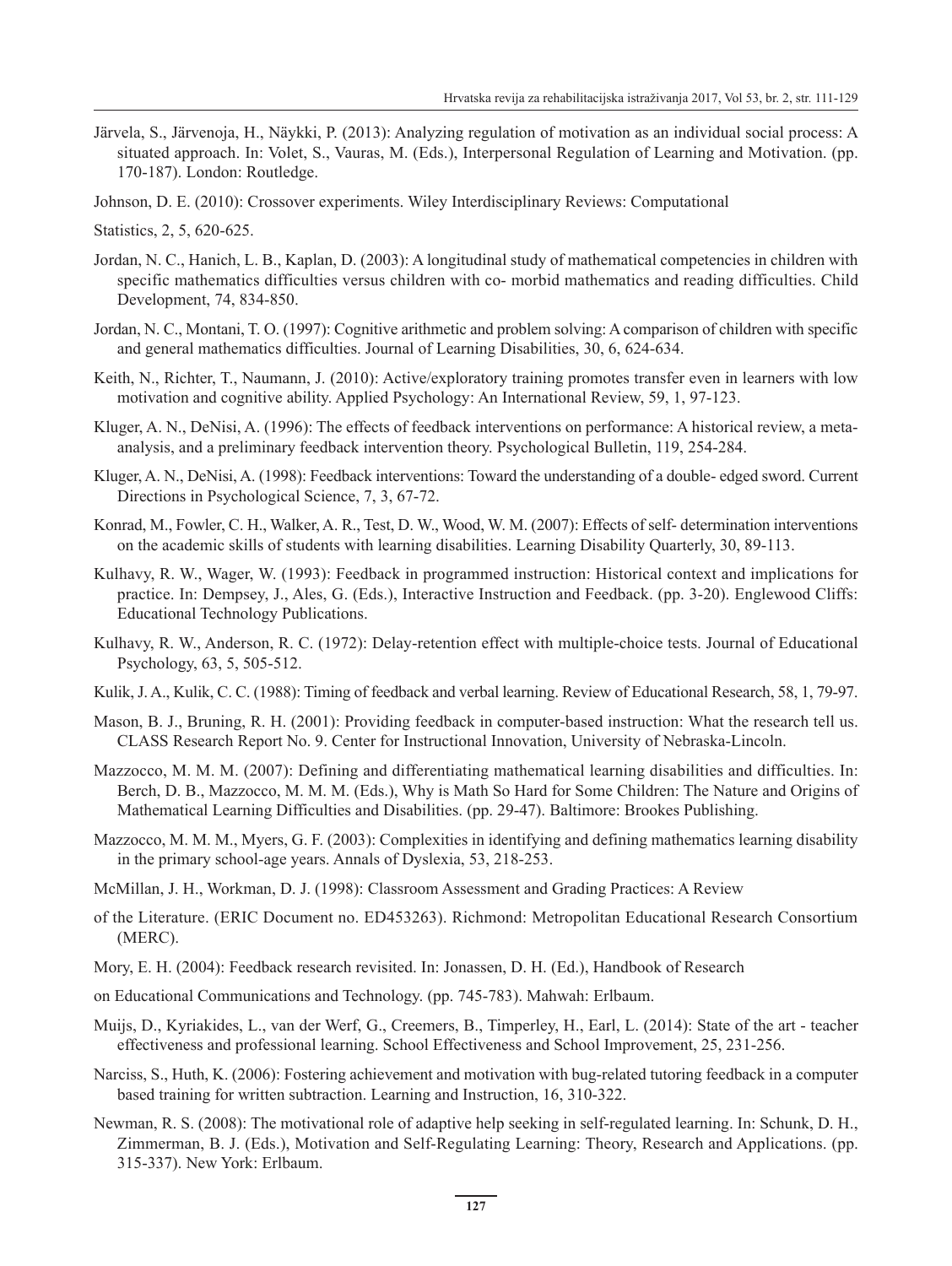- Järvela, S., Järvenoja, H., Näykki, P. (2013): Analyzing regulation of motivation as an individual social process: A situated approach. In: Volet, S., Vauras, M. (Eds.), Interpersonal Regulation of Learning and Motivation. (pp. 170-187). London: Routledge.
- Johnson, D. E. (2010): Crossover experiments. Wiley Interdisciplinary Reviews: Computational
- Statistics, 2, 5, 620-625.
- Jordan, N. C., Hanich, L. B., Kaplan, D. (2003): A longitudinal study of mathematical competencies in children with specific mathematics difficulties versus children with co- morbid mathematics and reading difficulties. Child Development, 74, 834-850.
- Jordan, N. C., Montani, T. O. (1997): Cognitive arithmetic and problem solving: A comparison of children with specific and general mathematics difficulties. Journal of Learning Disabilities, 30, 6, 624-634.
- Keith, N., Richter, T., Naumann, J. (2010): Active/exploratory training promotes transfer even in learners with low motivation and cognitive ability. Applied Psychology: An International Review, 59, 1, 97-123.
- Kluger, A. N., DeNisi, A. (1996): The effects of feedback interventions on performance: A historical review, a metaanalysis, and a preliminary feedback intervention theory. Psychological Bulletin, 119, 254-284.
- Kluger, A. N., DeNisi, A. (1998): Feedback interventions: Toward the understanding of a double- edged sword. Current Directions in Psychological Science, 7, 3, 67-72.
- Konrad, M., Fowler, C. H., Walker, A. R., Test, D. W., Wood, W. M. (2007): Effects of self- determination interventions on the academic skills of students with learning disabilities. Learning Disability Quarterly, 30, 89-113.
- Kulhavy, R. W., Wager, W. (1993): Feedback in programmed instruction: Historical context and implications for practice. In: Dempsey, J., Ales, G. (Eds.), Interactive Instruction and Feedback. (pp. 3-20). Englewood Cliffs: Educational Technology Publications.
- Kulhavy, R. W., Anderson, R. C. (1972): Delay-retention effect with multiple-choice tests. Journal of Educational Psychology, 63, 5, 505-512.
- Kulik, J. A., Kulik, C. C. (1988): Timing of feedback and verbal learning. Review of Educational Research, 58, 1, 79-97.
- Mason, B. J., Bruning, R. H. (2001): Providing feedback in computer-based instruction: What the research tell us. CLASS Research Report No. 9. Center for Instructional Innovation, University of Nebraska-Lincoln.
- Mazzocco, M. M. M. (2007): Defining and differentiating mathematical learning disabilities and difficulties. In: Berch, D. B., Mazzocco, M. M. M. (Eds.), Why is Math So Hard for Some Children: The Nature and Origins of Mathematical Learning Difficulties and Disabilities. (pp. 29-47). Baltimore: Brookes Publishing.
- Mazzocco, M. M. M., Myers, G. F. (2003): Complexities in identifying and defining mathematics learning disability in the primary school-age years. Annals of Dyslexia, 53, 218-253.
- McMillan, J. H., Workman, D. J. (1998): Classroom Assessment and Grading Practices: A Review
- of the Literature. (ERIC Document no. ED453263). Richmond: Metropolitan Educational Research Consortium (MERC).
- Mory, E. H. (2004): Feedback research revisited. In: Jonassen, D. H. (Ed.), Handbook of Research
- on Educational Communications and Technology. (pp. 745-783). Mahwah: Erlbaum.
- Muijs, D., Kyriakides, L., van der Werf, G., Creemers, B., Timperley, H., Earl, L. (2014): State of the art teacher effectiveness and professional learning. School Effectiveness and School Improvement, 25, 231-256.
- Narciss, S., Huth, K. (2006): Fostering achievement and motivation with bug-related tutoring feedback in a computer based training for written subtraction. Learning and Instruction, 16, 310-322.
- Newman, R. S. (2008): The motivational role of adaptive help seeking in self-regulated learning. In: Schunk, D. H., Zimmerman, B. J. (Eds.), Motivation and Self-Regulating Learning: Theory, Research and Applications. (pp. 315-337). New York: Erlbaum.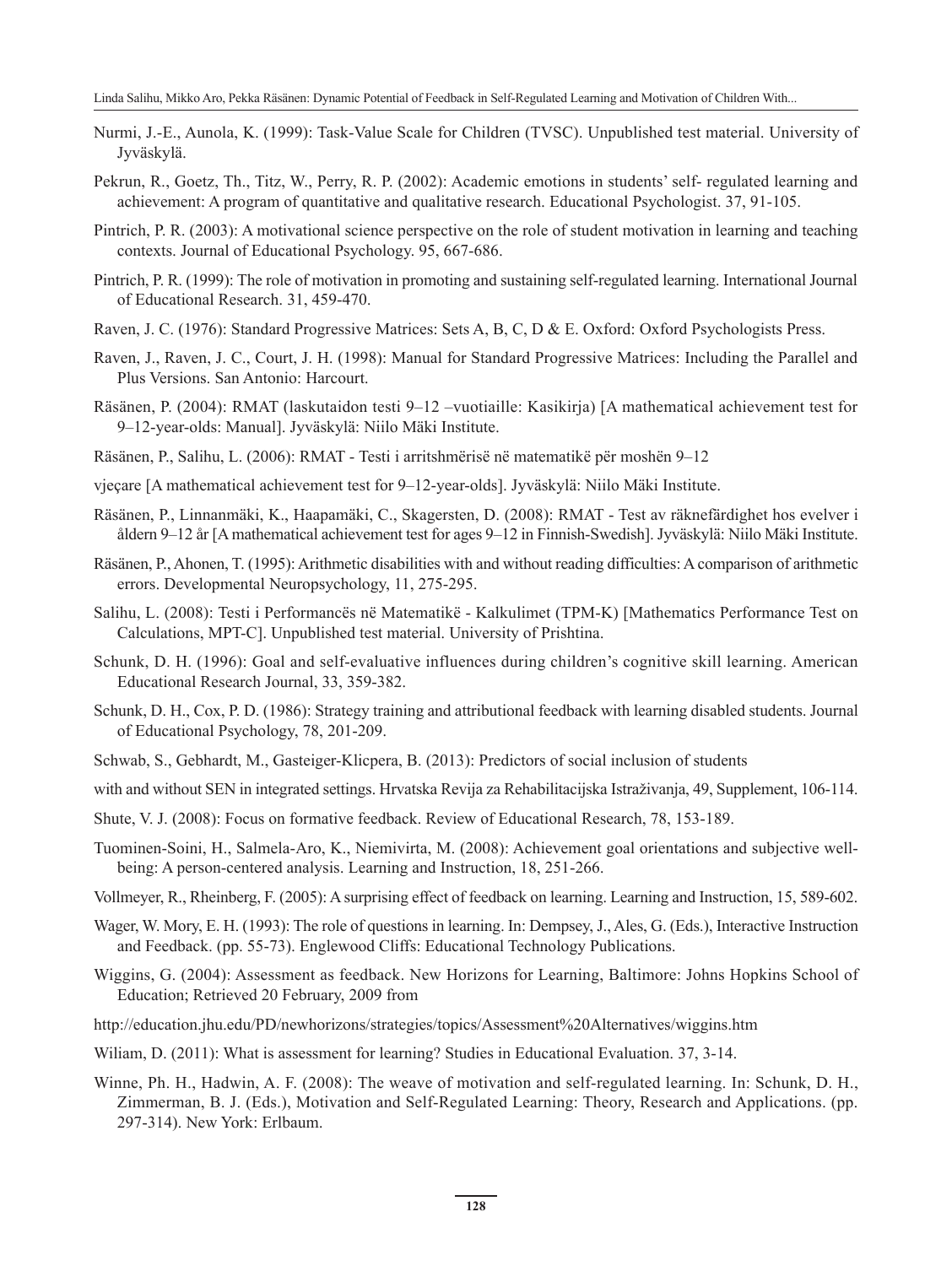- Nurmi, J.-E., Aunola, K. (1999): Task-Value Scale for Children (TVSC). Unpublished test material. University of Jyväskylä.
- Pekrun, R., Goetz, Th., Titz, W., Perry, R. P. (2002): Academic emotions in students' self- regulated learning and achievement: A program of quantitative and qualitative research. Educational Psychologist. 37, 91-105.
- Pintrich, P. R. (2003): A motivational science perspective on the role of student motivation in learning and teaching contexts. Journal of Educational Psychology. 95, 667-686.
- Pintrich, P. R. (1999): The role of motivation in promoting and sustaining self-regulated learning. International Journal of Educational Research. 31, 459-470.
- Raven, J. C. (1976): Standard Progressive Matrices: Sets A, B, C, D & E. Oxford: Oxford Psychologists Press.
- Raven, J., Raven, J. C., Court, J. H. (1998): Manual for Standard Progressive Matrices: Including the Parallel and Plus Versions. San Antonio: Harcourt.
- Räsänen, P. (2004): RMAT (laskutaidon testi 9–12 –vuotiaille: Kasikirja) [A mathematical achievement test for 9–12-year-olds: Manual]. Jyväskylä: Niilo Mäki Institute.
- Räsänen, P., Salihu, L. (2006): RMAT Testi i arritshmërisë në matematikë për moshën 9–12
- vjeçare [A mathematical achievement test for 9–12-year-olds]. Jyväskylä: Niilo Mäki Institute.
- Räsänen, P., Linnanmäki, K., Haapamäki, C., Skagersten, D. (2008): RMAT Test av räknefärdighet hos evelver i åldern 9–12 år [A mathematical achievement test for ages 9–12 in Finnish-Swedish]. Jyväskylä: Niilo Mäki Institute.
- Räsänen, P., Ahonen, T. (1995): Arithmetic disabilities with and without reading difficulties: A comparison of arithmetic errors. Developmental Neuropsychology, 11, 275-295.
- Salihu, L. (2008): Testi i Performancës në Matematikë Kalkulimet (TPM-K) [Mathematics Performance Test on Calculations, MPT-C]. Unpublished test material. University of Prishtina.
- Schunk, D. H. (1996): Goal and self-evaluative influences during children's cognitive skill learning. American Educational Research Journal, 33, 359-382.
- Schunk, D. H., Cox, P. D. (1986): Strategy training and attributional feedback with learning disabled students. Journal of Educational Psychology, 78, 201-209.
- Schwab, S., Gebhardt, M., Gasteiger-Klicpera, B. (2013): Predictors of social inclusion of students
- with and without SEN in integrated settings. Hrvatska Revija za Rehabilitacijska Istraživanja, 49, Supplement, 106-114.
- Shute, V. J. (2008): Focus on formative feedback. Review of Educational Research, 78, 153-189.
- Tuominen-Soini, H., Salmela-Aro, K., Niemivirta, M. (2008): Achievement goal orientations and subjective wellbeing: A person-centered analysis. Learning and Instruction, 18, 251-266.
- Vollmeyer, R., Rheinberg, F. (2005): A surprising effect of feedback on learning. Learning and Instruction, 15, 589-602.
- Wager, W. Mory, E. H. (1993): The role of questions in learning. In: Dempsey, J., Ales, G. (Eds.), Interactive Instruction and Feedback. (pp. 55-73). Englewood Cliffs: Educational Technology Publications.
- Wiggins, G. (2004): Assessment as feedback. New Horizons for Learning, Baltimore: Johns Hopkins School of Education; Retrieved 20 February, 2009 from
- http://education.jhu.edu/PD/newhorizons/strategies/topics/Assessment%20Alternatives/wiggins.htm
- Wiliam, D. (2011): What is assessment for learning? Studies in Educational Evaluation. 37, 3-14.
- Winne, Ph. H., Hadwin, A. F. (2008): The weave of motivation and self-regulated learning. In: Schunk, D. H., Zimmerman, B. J. (Eds.), Motivation and Self-Regulated Learning: Theory, Research and Applications. (pp. 297-314). New York: Erlbaum.